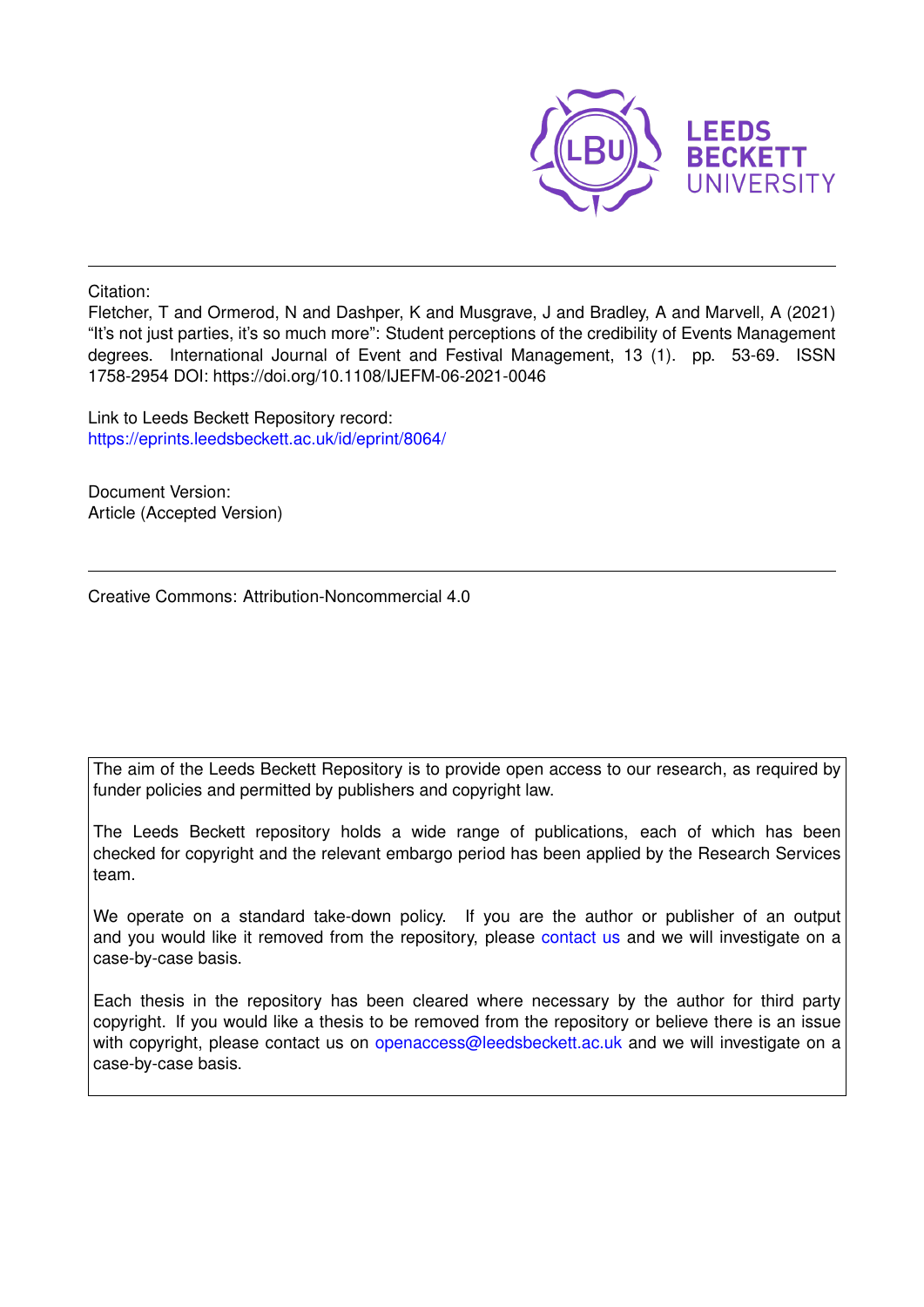

Citation:

Fletcher, T and Ormerod, N and Dashper, K and Musgrave, J and Bradley, A and Marvell, A (2021) "It's not just parties, it's so much more": Student perceptions of the credibility of Events Management degrees. International Journal of Event and Festival Management, 13 (1). pp. 53-69. ISSN 1758-2954 DOI: https://doi.org/10.1108/IJEFM-06-2021-0046

Link to Leeds Beckett Repository record: <https://eprints.leedsbeckett.ac.uk/id/eprint/8064/>

Document Version: Article (Accepted Version)

Creative Commons: Attribution-Noncommercial 4.0

The aim of the Leeds Beckett Repository is to provide open access to our research, as required by funder policies and permitted by publishers and copyright law.

The Leeds Beckett repository holds a wide range of publications, each of which has been checked for copyright and the relevant embargo period has been applied by the Research Services team.

We operate on a standard take-down policy. If you are the author or publisher of an output and you would like it removed from the repository, please [contact us](mailto:openaccess@leedsbeckett.ac.uk) and we will investigate on a case-by-case basis.

Each thesis in the repository has been cleared where necessary by the author for third party copyright. If you would like a thesis to be removed from the repository or believe there is an issue with copyright, please contact us on [openaccess@leedsbeckett.ac.uk](mailto:openaccess@leedsbeckett.ac.uk) and we will investigate on a case-by-case basis.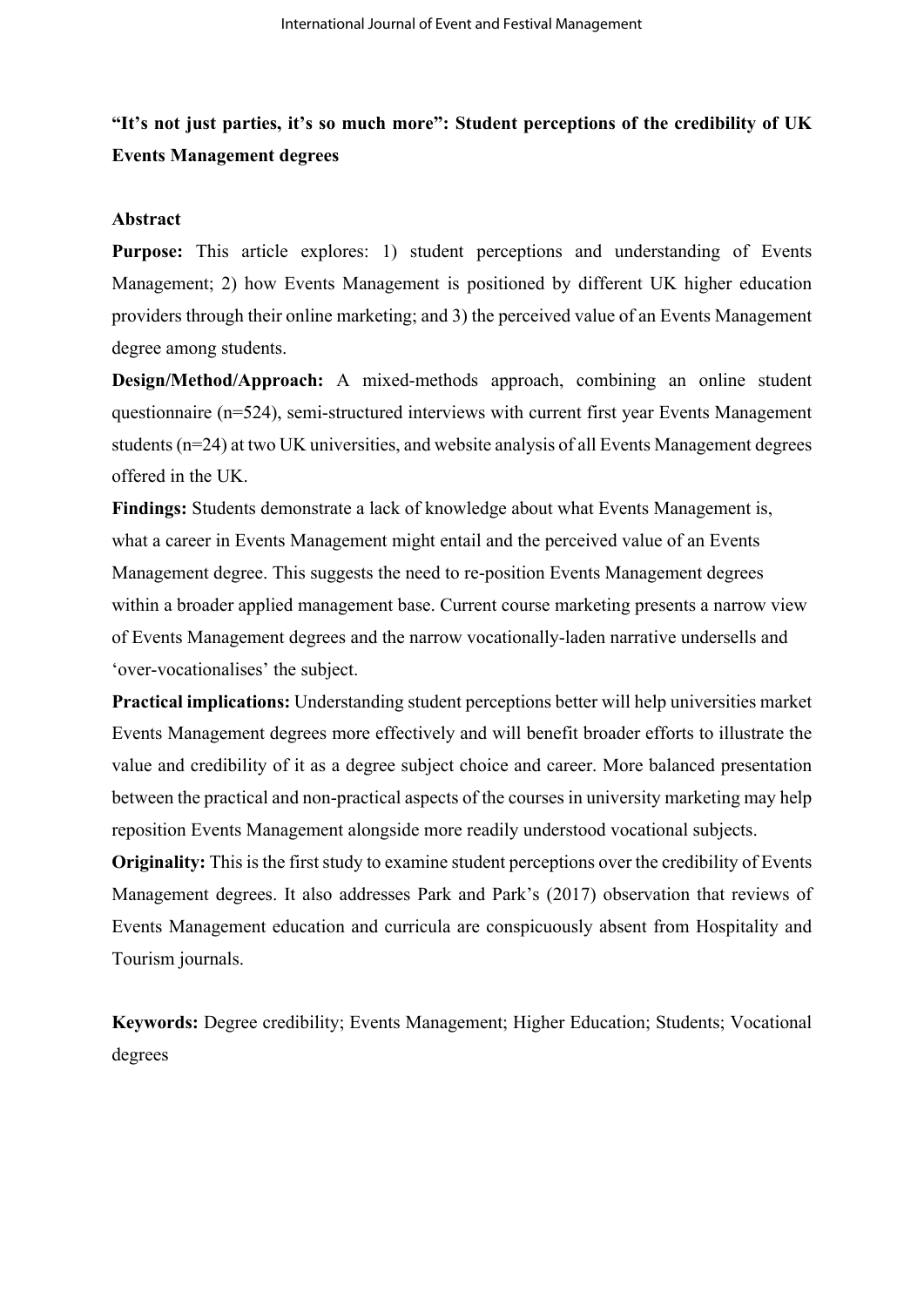# **"It's not just parties, it's so much more": Student perceptions of the credibility of UK Events Management degrees**

## **Abstract**

**Purpose:** This article explores: 1) student perceptions and understanding of Events Management; 2) how Events Management is positioned by different UK higher education providers through their online marketing; and 3) the perceived value of an Events Management degree among students.

**Design/Method/Approach:** A mixed-methods approach, combining an online student questionnaire (n=524), semi-structured interviews with current first year Events Management students (n=24) at two UK universities, and website analysis of all Events Management degrees offered in the UK.

**Findings:** Students demonstrate a lack of knowledge about what Events Management is, what a career in Events Management might entail and the perceived value of an Events Management degree. This suggests the need to re-position Events Management degrees within a broader applied management base. Current course marketing presents a narrow view of Events Management degrees and the narrow vocationally-laden narrative undersells and 'over-vocationalises' the subject.

**Practical implications:** Understanding student perceptions better will help universities market Events Management degrees more effectively and will benefit broader efforts to illustrate the value and credibility of it as a degree subject choice and career. More balanced presentation between the practical and non-practical aspects of the courses in university marketing may help reposition Events Management alongside more readily understood vocational subjects.

**Originality:** This is the first study to examine student perceptions over the credibility of Events Management degrees. It also addresses Park and Park's (2017) observation that reviews of Events Management education and curricula are conspicuously absent from Hospitality and Tourism journals.

**Keywords:** Degree credibility; Events Management; Higher Education; Students; Vocational degrees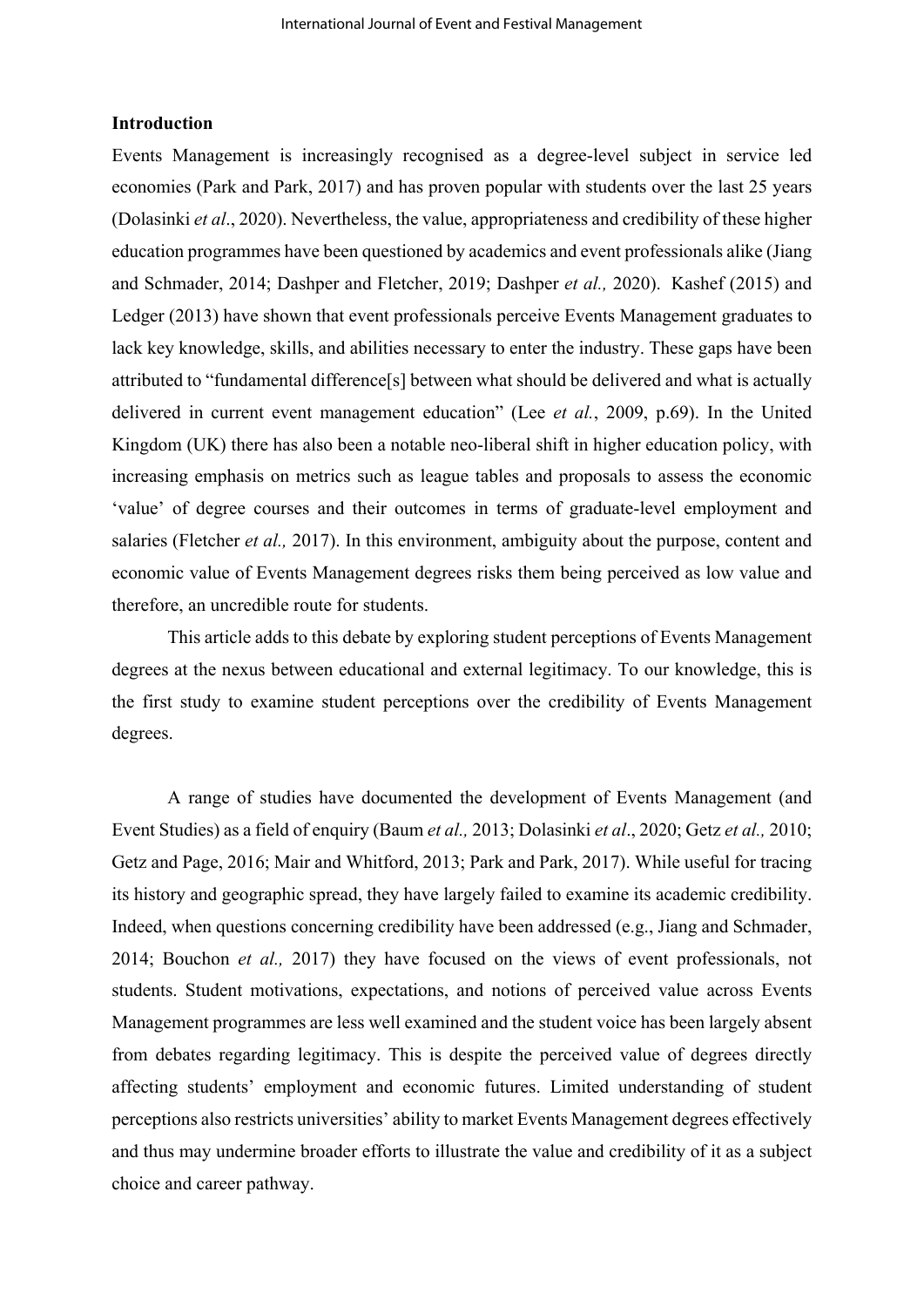### **Introduction**

Events Management is increasingly recognised as a degree-level subject in service led economies (Park and Park, 2017) and has proven popular with students over the last 25 years (Dolasinki *et al*., 2020). Nevertheless, the value, appropriateness and credibility of these higher education programmes have been questioned by academics and event professionals alike (Jiang and Schmader, 2014; Dashper and Fletcher, 2019; Dashper *et al.,* 2020). Kashef (2015) and Ledger (2013) have shown that event professionals perceive Events Management graduates to lack key knowledge, skills, and abilities necessary to enter the industry. These gaps have been attributed to "fundamental difference[s] between what should be delivered and what is actually delivered in current event management education" (Lee *et al.*, 2009, p.69). In the United Kingdom (UK) there has also been a notable neo-liberal shift in higher education policy, with increasing emphasis on metrics such as league tables and proposals to assess the economic 'value' of degree courses and their outcomes in terms of graduate-level employment and salaries (Fletcher *et al.,* 2017). In this environment, ambiguity about the purpose, content and economic value of Events Management degrees risks them being perceived as low value and therefore, an uncredible route for students.

This article adds to this debate by exploring student perceptions of Events Management degrees at the nexus between educational and external legitimacy. To our knowledge, this is the first study to examine student perceptions over the credibility of Events Management degrees.

A range of studies have documented the development of Events Management (and Event Studies) as a field of enquiry (Baum *et al.,* 2013; Dolasinki *et al*., 2020; Getz *et al.,* 2010; Getz and Page, 2016; Mair and Whitford, 2013; Park and Park, 2017). While useful for tracing its history and geographic spread, they have largely failed to examine its academic credibility. Indeed, when questions concerning credibility have been addressed (e.g., Jiang and Schmader, 2014; Bouchon *et al.,* 2017) they have focused on the views of event professionals, not students. Student motivations, expectations, and notions of perceived value across Events Management programmes are less well examined and the student voice has been largely absent from debates regarding legitimacy. This is despite the perceived value of degrees directly affecting students' employment and economic futures. Limited understanding of student perceptions also restricts universities' ability to market Events Management degrees effectively and thus may undermine broader efforts to illustrate the value and credibility of it as a subject choice and career pathway.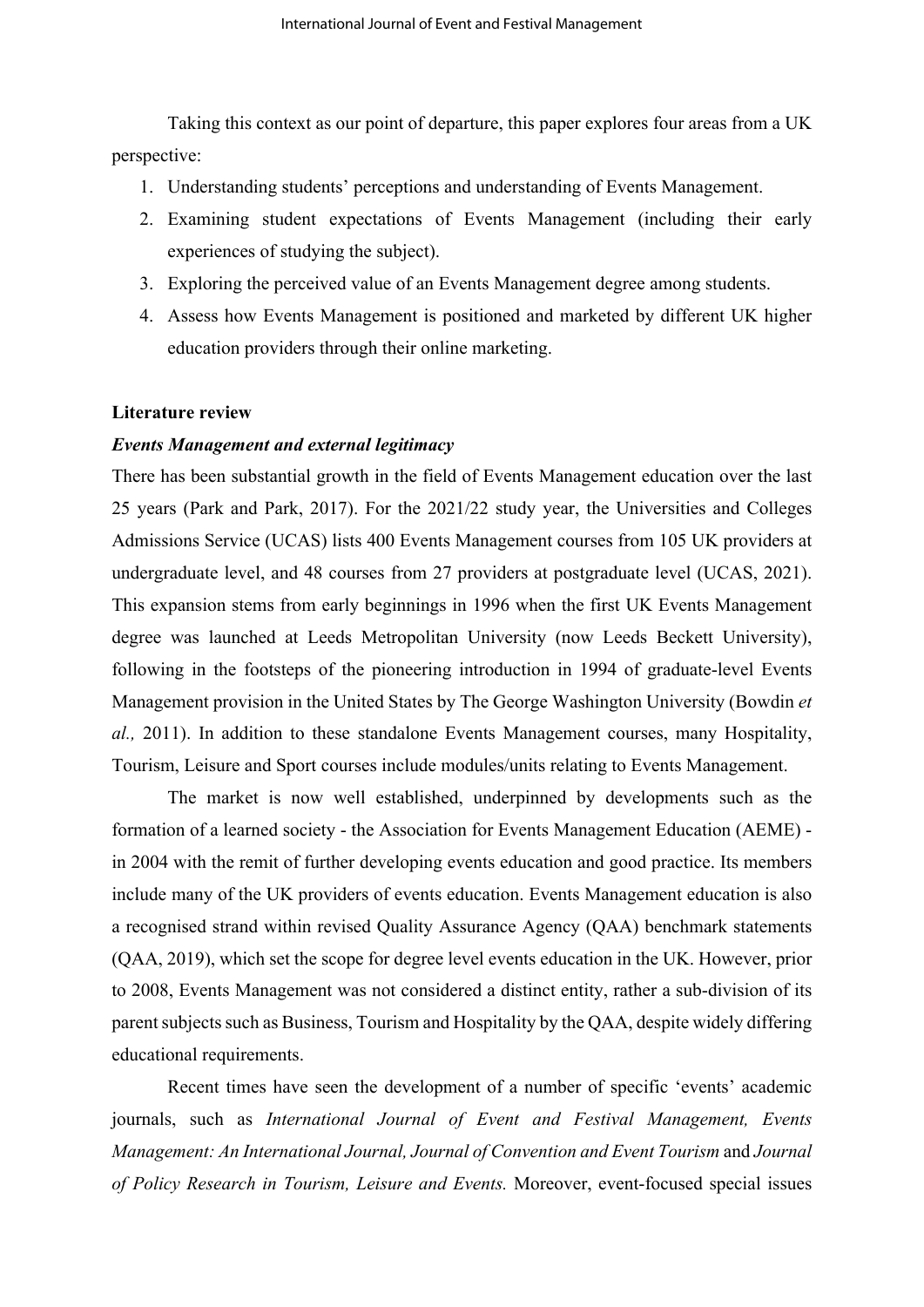Taking this context as our point of departure, this paper explores four areas from a UK perspective:

- 1. Understanding students' perceptions and understanding of Events Management.
- 2. Examining student expectations of Events Management (including their early experiences of studying the subject).
- 3. Exploring the perceived value of an Events Management degree among students.
- 4. Assess how Events Management is positioned and marketed by different UK higher education providers through their online marketing.

#### **Literature review**

### *Events Management and external legitimacy*

There has been substantial growth in the field of Events Management education over the last 25 years (Park and Park, 2017). For the 2021/22 study year, the Universities and Colleges Admissions Service (UCAS) lists 400 Events Management courses from 105 UK providers at undergraduate level, and 48 courses from 27 providers at postgraduate level (UCAS, 2021). This expansion stems from early beginnings in 1996 when the first UK Events Management degree was launched at Leeds Metropolitan University (now Leeds Beckett University), following in the footsteps of the pioneering introduction in 1994 of graduate-level Events Management provision in the United States by The George Washington University (Bowdin *et al.,* 2011). In addition to these standalone Events Management courses, many Hospitality, Tourism, Leisure and Sport courses include modules/units relating to Events Management.

The market is now well established, underpinned by developments such as the formation of a learned society - the Association for Events Management Education (AEME) in 2004 with the remit of further developing events education and good practice. Its members include many of the UK providers of events education. Events Management education is also a recognised strand within revised Quality Assurance Agency (QAA) benchmark statements (QAA, 2019), which set the scope for degree level events education in the UK. However, prior to 2008, Events Management was not considered a distinct entity, rather a sub-division of its parent subjects such as Business, Tourism and Hospitality by the QAA, despite widely differing educational requirements.

Recent times have seen the development of a number of specific 'events' academic journals, such as *International Journal of Event and Festival Management, Events Management: An International Journal, Journal of Convention and Event Tourism* and *Journal of Policy Research in Tourism, Leisure and Events.* Moreover, event-focused special issues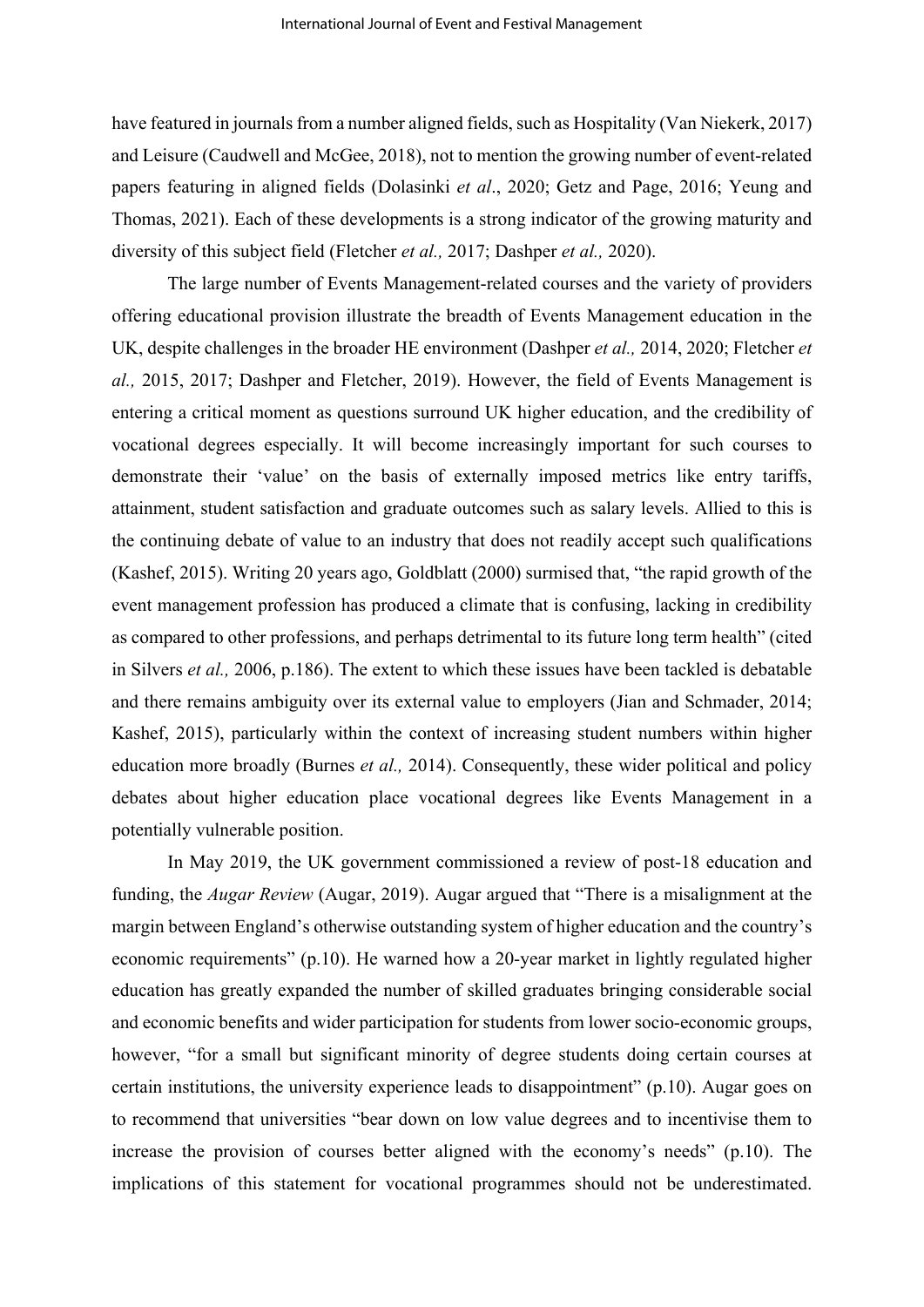have featured in journals from a number aligned fields, such as Hospitality (Van Niekerk, 2017) and Leisure (Caudwell and McGee, 2018), not to mention the growing number of event-related papers featuring in aligned fields (Dolasinki *et al*., 2020; Getz and Page, 2016; Yeung and Thomas, 2021). Each of these developments is a strong indicator of the growing maturity and diversity of this subject field (Fletcher *et al.,* 2017; Dashper *et al.,* 2020).

The large number of Events Management-related courses and the variety of providers offering educational provision illustrate the breadth of Events Management education in the UK, despite challenges in the broader HE environment (Dashper *et al.,* 2014, 2020; Fletcher *et al.,* 2015, 2017; Dashper and Fletcher, 2019). However, the field of Events Management is entering a critical moment as questions surround UK higher education, and the credibility of vocational degrees especially. It will become increasingly important for such courses to demonstrate their 'value' on the basis of externally imposed metrics like entry tariffs, attainment, student satisfaction and graduate outcomes such as salary levels. Allied to this is the continuing debate of value to an industry that does not readily accept such qualifications (Kashef, 2015). Writing 20 years ago, Goldblatt (2000) surmised that, "the rapid growth of the event management profession has produced a climate that is confusing, lacking in credibility as compared to other professions, and perhaps detrimental to its future long term health" (cited in Silvers *et al.,* 2006, p.186). The extent to which these issues have been tackled is debatable and there remains ambiguity over its external value to employers (Jian and Schmader, 2014; Kashef, 2015), particularly within the context of increasing student numbers within higher education more broadly (Burnes *et al.,* 2014). Consequently, these wider political and policy debates about higher education place vocational degrees like Events Management in a potentially vulnerable position.

In May 2019, the UK government commissioned a review of post-18 education and funding, the *Augar Review* (Augar, 2019). Augar argued that "There is a misalignment at the margin between England's otherwise outstanding system of higher education and the country's economic requirements" (p.10). He warned how a 20-year market in lightly regulated higher education has greatly expanded the number of skilled graduates bringing considerable social and economic benefits and wider participation for students from lower socio-economic groups, however, "for a small but significant minority of degree students doing certain courses at certain institutions, the university experience leads to disappointment" (p.10). Augar goes on to recommend that universities "bear down on low value degrees and to incentivise them to increase the provision of courses better aligned with the economy's needs" (p.10). The implications of this statement for vocational programmes should not be underestimated.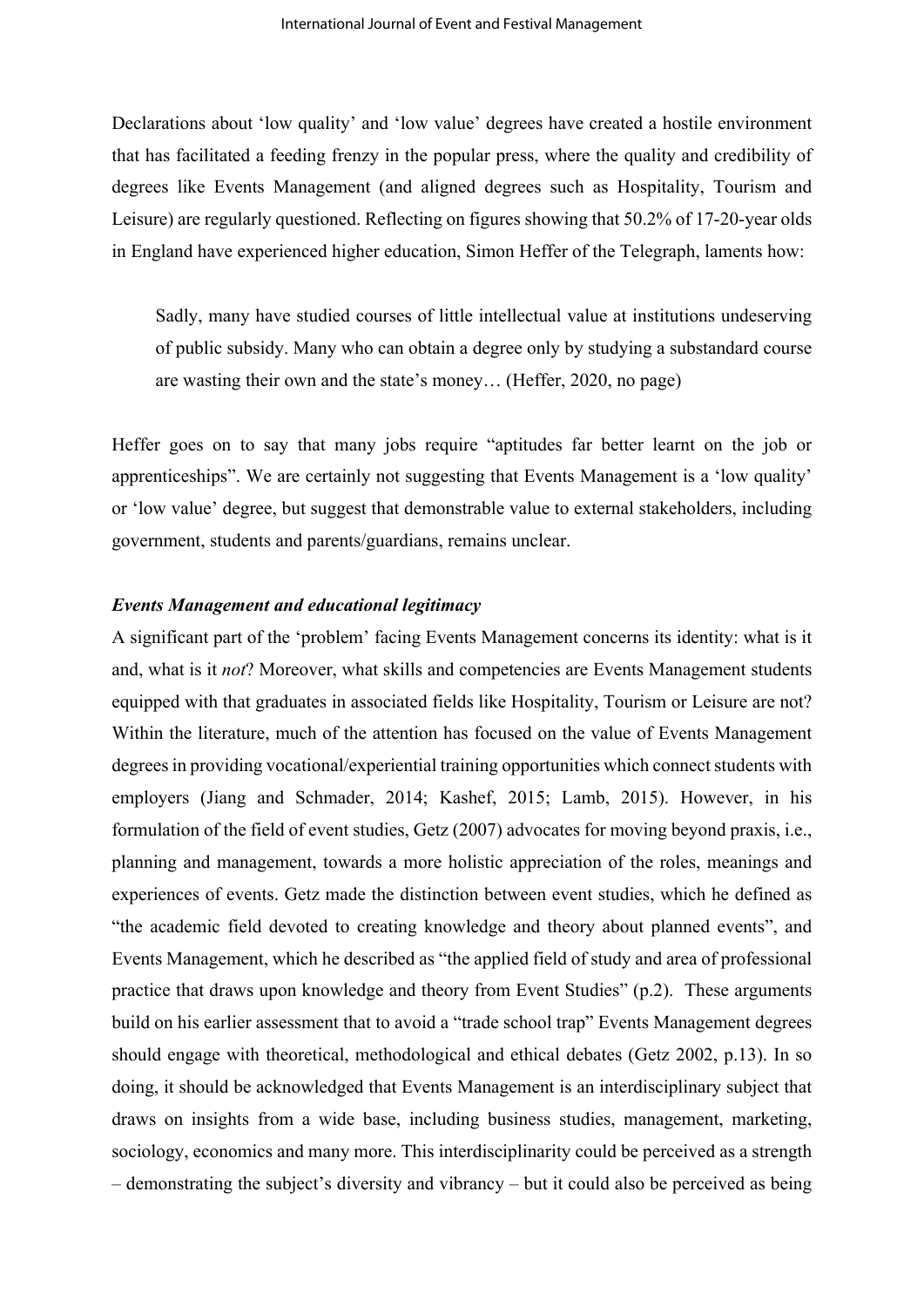Declarations about 'low quality' and 'low value' degrees have created a hostile environment that has facilitated a feeding frenzy in the popular press, where the quality and credibility of degrees like Events Management (and aligned degrees such as Hospitality, Tourism and Leisure) are regularly questioned. Reflecting on figures showing that 50.2% of 17-20-year olds in England have experienced higher education, Simon Heffer of the Telegraph, laments how:

Sadly, many have studied courses of little intellectual value at institutions undeserving of public subsidy. Many who can obtain a degree only by studying a substandard course are wasting their own and the state's money… (Heffer, 2020, no page)

Heffer goes on to say that many jobs require "aptitudes far better learnt on the job or apprenticeships". We are certainly not suggesting that Events Management is a 'low quality' or 'low value' degree, but suggest that demonstrable value to external stakeholders, including government, students and parents/guardians, remains unclear.

### *Events Management and educational legitimacy*

A significant part of the 'problem' facing Events Management concerns its identity: what is it and, what is it *not*? Moreover, what skills and competencies are Events Management students equipped with that graduates in associated fields like Hospitality, Tourism or Leisure are not? Within the literature, much of the attention has focused on the value of Events Management degrees in providing vocational/experiential training opportunities which connect students with employers (Jiang and Schmader, 2014; Kashef, 2015; Lamb, 2015). However, in his formulation of the field of event studies, Getz (2007) advocates for moving beyond praxis, i.e., planning and management, towards a more holistic appreciation of the roles, meanings and experiences of events. Getz made the distinction between event studies, which he defined as "the academic field devoted to creating knowledge and theory about planned events", and Events Management, which he described as "the applied field of study and area of professional practice that draws upon knowledge and theory from Event Studies" (p.2). These arguments build on his earlier assessment that to avoid a "trade school trap" Events Management degrees should engage with theoretical, methodological and ethical debates (Getz 2002, p.13). In so doing, it should be acknowledged that Events Management is an interdisciplinary subject that draws on insights from a wide base, including business studies, management, marketing, sociology, economics and many more. This interdisciplinarity could be perceived as a strength – demonstrating the subject's diversity and vibrancy – but it could also be perceived as being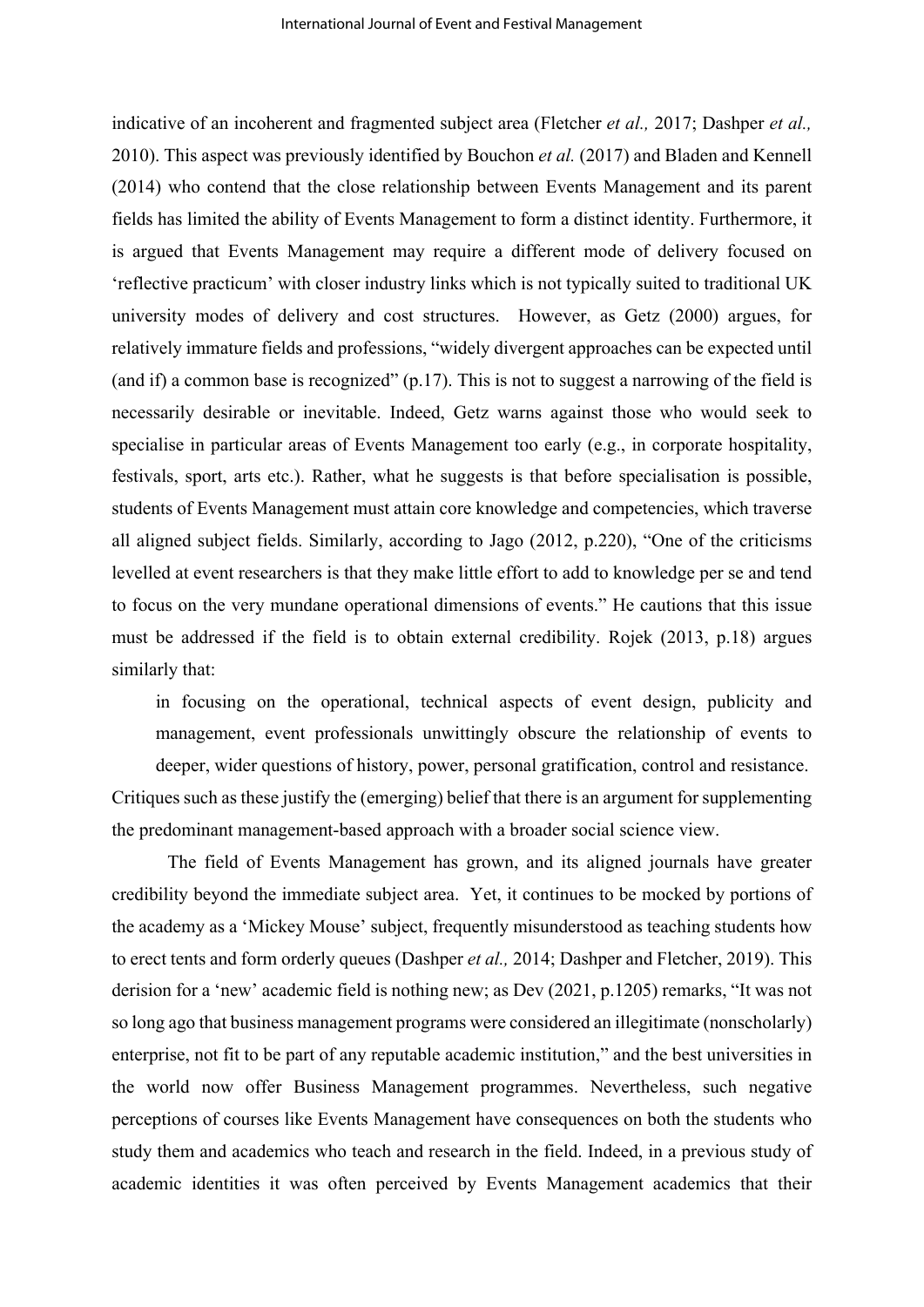indicative of an incoherent and fragmented subject area (Fletcher *et al.,* 2017; Dashper *et al.,*  2010). This aspect was previously identified by Bouchon *et al.* (2017) and Bladen and Kennell (2014) who contend that the close relationship between Events Management and its parent fields has limited the ability of Events Management to form a distinct identity. Furthermore, it is argued that Events Management may require a different mode of delivery focused on 'reflective practicum' with closer industry links which is not typically suited to traditional UK university modes of delivery and cost structures. However, as Getz (2000) argues, for relatively immature fields and professions, "widely divergent approaches can be expected until (and if) a common base is recognized" (p.17). This is not to suggest a narrowing of the field is necessarily desirable or inevitable. Indeed, Getz warns against those who would seek to specialise in particular areas of Events Management too early (e.g., in corporate hospitality, festivals, sport, arts etc.). Rather, what he suggests is that before specialisation is possible, students of Events Management must attain core knowledge and competencies, which traverse all aligned subject fields. Similarly, according to Jago (2012, p.220), "One of the criticisms levelled at event researchers is that they make little effort to add to knowledge per se and tend to focus on the very mundane operational dimensions of events." He cautions that this issue must be addressed if the field is to obtain external credibility. Rojek (2013, p.18) argues similarly that:

in focusing on the operational, technical aspects of event design, publicity and management, event professionals unwittingly obscure the relationship of events to

deeper, wider questions of history, power, personal gratification, control and resistance. Critiques such as these justify the (emerging) belief that there is an argument for supplementing the predominant management-based approach with a broader social science view.

The field of Events Management has grown, and its aligned journals have greater credibility beyond the immediate subject area. Yet, it continues to be mocked by portions of the academy as a 'Mickey Mouse' subject, frequently misunderstood as teaching students how to erect tents and form orderly queues (Dashper *et al.,* 2014; Dashper and Fletcher, 2019). This derision for a 'new' academic field is nothing new; as Dev (2021, p.1205) remarks, "It was not so long ago that business management programs were considered an illegitimate (nonscholarly) enterprise, not fit to be part of any reputable academic institution," and the best universities in the world now offer Business Management programmes. Nevertheless, such negative perceptions of courses like Events Management have consequences on both the students who study them and academics who teach and research in the field. Indeed, in a previous study of academic identities it was often perceived by Events Management academics that their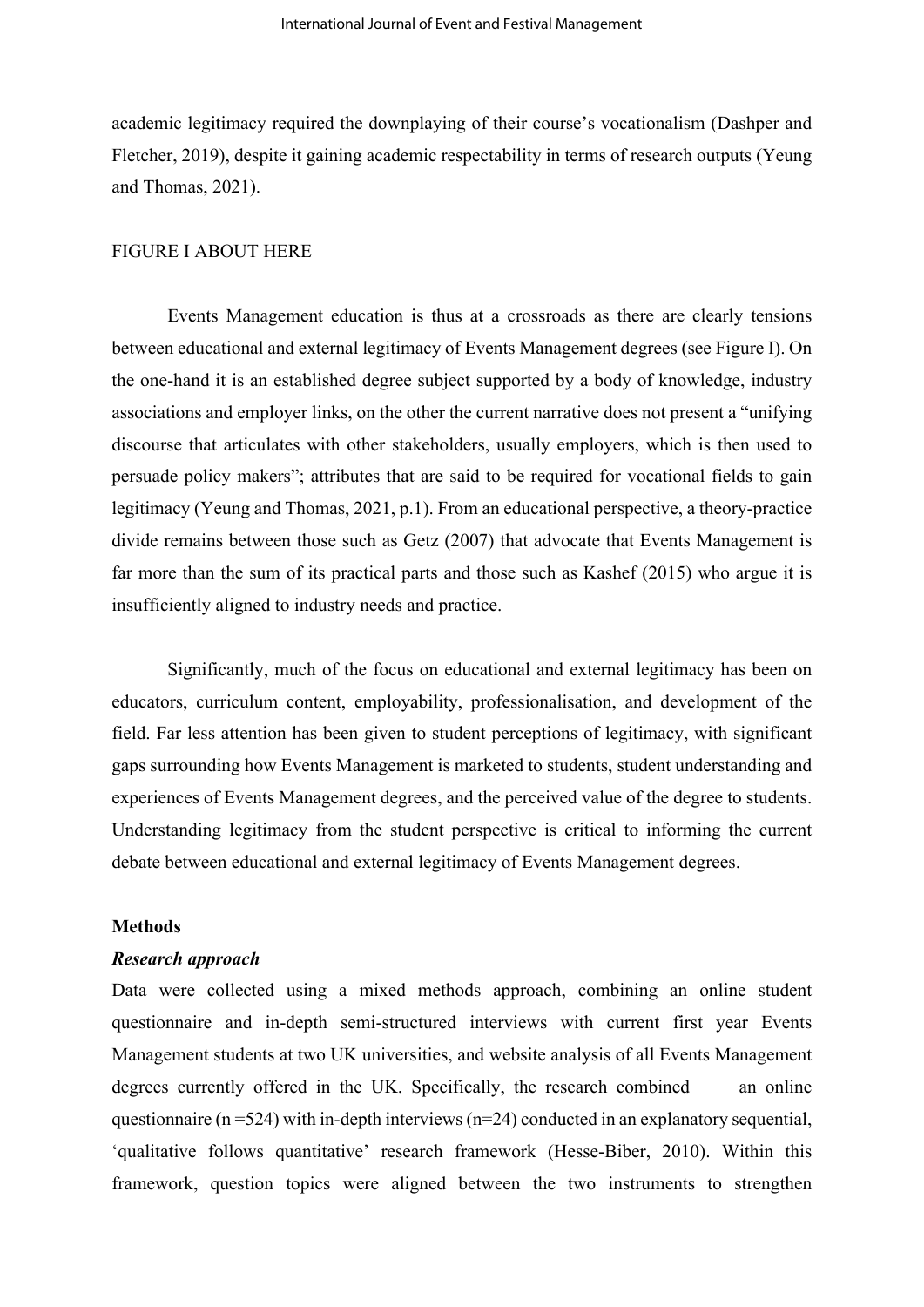academic legitimacy required the downplaying of their course's vocationalism (Dashper and Fletcher, 2019), despite it gaining academic respectability in terms of research outputs (Yeung and Thomas, 2021).

## FIGURE I ABOUT HERE

Events Management education is thus at a crossroads as there are clearly tensions between educational and external legitimacy of Events Management degrees (see Figure I). On the one-hand it is an established degree subject supported by a body of knowledge, industry associations and employer links, on the other the current narrative does not present a "unifying discourse that articulates with other stakeholders, usually employers, which is then used to persuade policy makers"; attributes that are said to be required for vocational fields to gain legitimacy (Yeung and Thomas, 2021, p.1). From an educational perspective, a theory-practice divide remains between those such as Getz (2007) that advocate that Events Management is far more than the sum of its practical parts and those such as Kashef (2015) who argue it is insufficiently aligned to industry needs and practice.

Significantly, much of the focus on educational and external legitimacy has been on educators, curriculum content, employability, professionalisation, and development of the field. Far less attention has been given to student perceptions of legitimacy, with significant gaps surrounding how Events Management is marketed to students, student understanding and experiences of Events Management degrees, and the perceived value of the degree to students. Understanding legitimacy from the student perspective is critical to informing the current debate between educational and external legitimacy of Events Management degrees.

## **Methods**

## *Research approach*

Data were collected using a mixed methods approach, combining an online student questionnaire and in-depth semi-structured interviews with current first year Events Management students at two UK universities, and website analysis of all Events Management degrees currently offered in the UK. Specifically, the research combined an online questionnaire ( $n = 524$ ) with in-depth interviews ( $n = 24$ ) conducted in an explanatory sequential, 'qualitative follows quantitative' research framework (Hesse-Biber, 2010). Within this framework, question topics were aligned between the two instruments to strengthen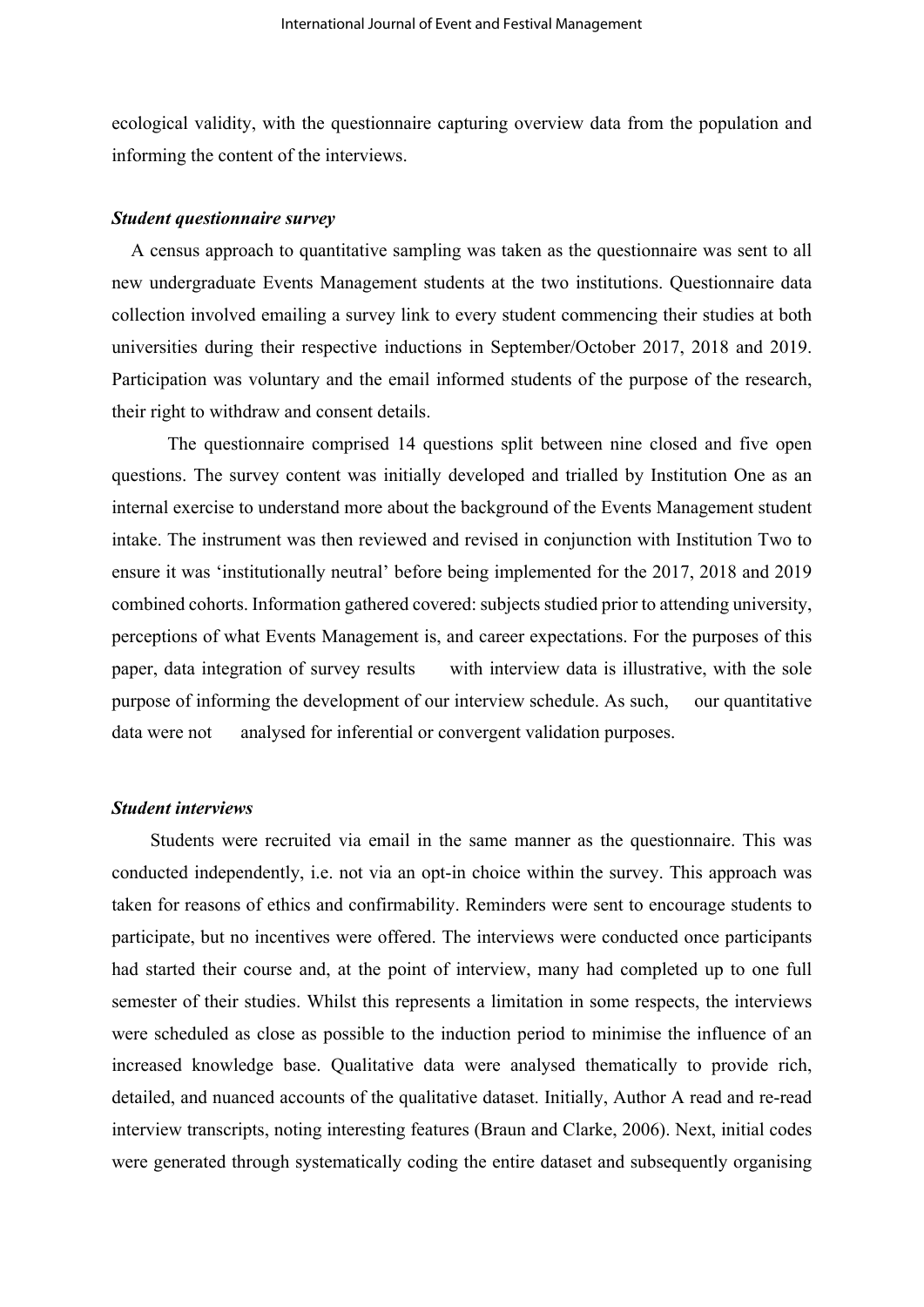ecological validity, with the questionnaire capturing overview data from the population and informing the content of the interviews.

#### *Student questionnaire survey*

 A census approach to quantitative sampling was taken as the questionnaire was sent to all new undergraduate Events Management students at the two institutions. Questionnaire data collection involved emailing a survey link to every student commencing their studies at both universities during their respective inductions in September/October 2017, 2018 and 2019. Participation was voluntary and the email informed students of the purpose of the research, their right to withdraw and consent details.

The questionnaire comprised 14 questions split between nine closed and five open questions. The survey content was initially developed and trialled by Institution One as an internal exercise to understand more about the background of the Events Management student intake. The instrument was then reviewed and revised in conjunction with Institution Two to ensure it was 'institutionally neutral' before being implemented for the 2017, 2018 and 2019 combined cohorts. Information gathered covered: subjects studied prior to attending university, perceptions of what Events Management is, and career expectations. For the purposes of this paper, data integration of survey results with interview data is illustrative, with the sole purpose of informing the development of our interview schedule. As such, our quantitative data were not analysed for inferential or convergent validation purposes.

## *Student interviews*

 Students were recruited via email in the same manner as the questionnaire. This was conducted independently, i.e. not via an opt-in choice within the survey. This approach was taken for reasons of ethics and confirmability. Reminders were sent to encourage students to participate, but no incentives were offered. The interviews were conducted once participants had started their course and, at the point of interview, many had completed up to one full semester of their studies. Whilst this represents a limitation in some respects, the interviews were scheduled as close as possible to the induction period to minimise the influence of an increased knowledge base. Qualitative data were analysed thematically to provide rich, detailed, and nuanced accounts of the qualitative dataset. Initially, Author A read and re-read interview transcripts, noting interesting features (Braun and Clarke, 2006). Next, initial codes were generated through systematically coding the entire dataset and subsequently organising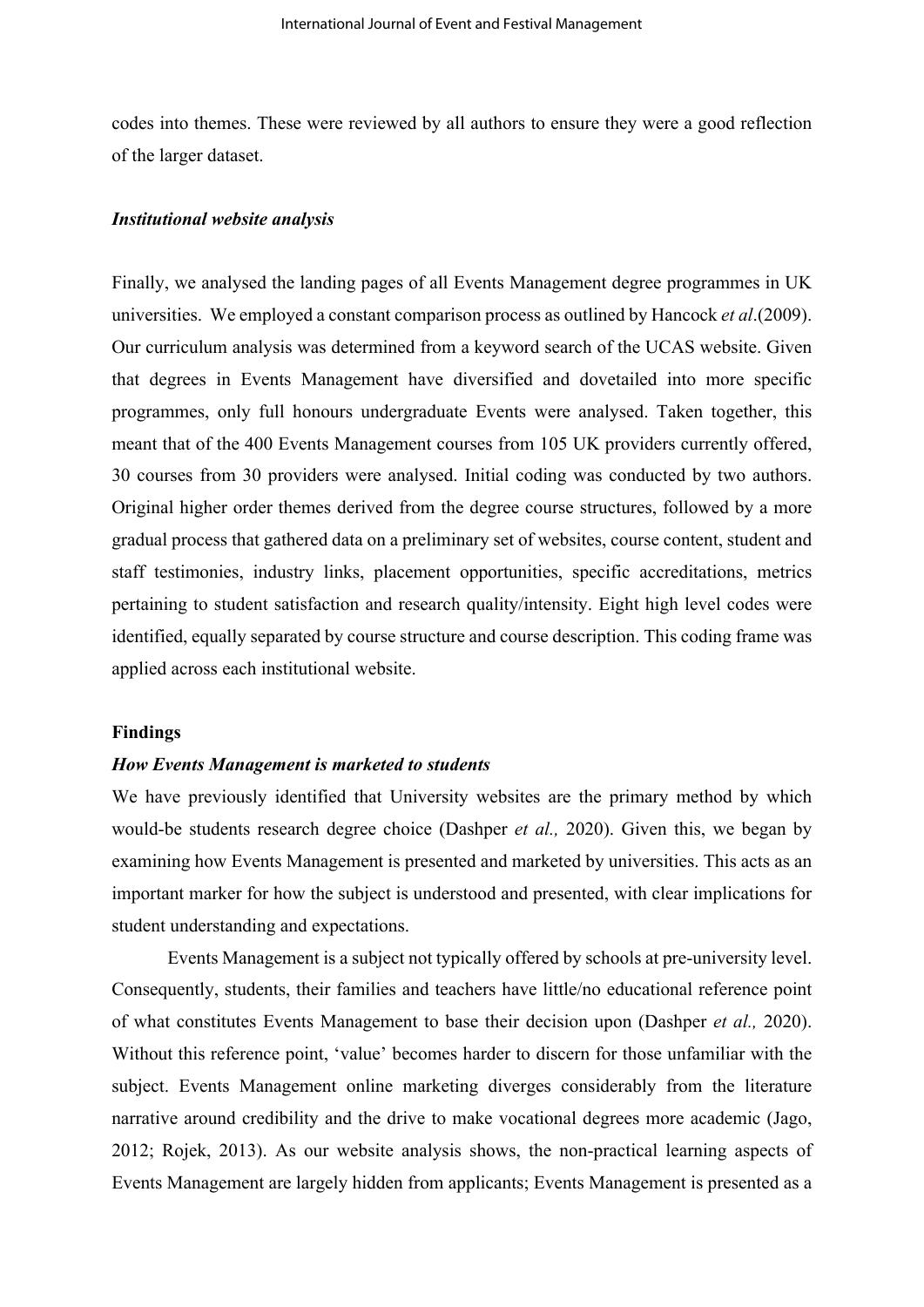codes into themes. These were reviewed by all authors to ensure they were a good reflection of the larger dataset.

#### *Institutional website analysis*

Finally, we analysed the landing pages of all Events Management degree programmes in UK universities. We employed a constant comparison process as outlined by Hancock *et al*.(2009). Our curriculum analysis was determined from a keyword search of the UCAS website. Given that degrees in Events Management have diversified and dovetailed into more specific programmes, only full honours undergraduate Events were analysed. Taken together, this meant that of the 400 Events Management courses from 105 UK providers currently offered, 30 courses from 30 providers were analysed. Initial coding was conducted by two authors. Original higher order themes derived from the degree course structures, followed by a more gradual process that gathered data on a preliminary set of websites, course content, student and staff testimonies, industry links, placement opportunities, specific accreditations, metrics pertaining to student satisfaction and research quality/intensity. Eight high level codes were identified, equally separated by course structure and course description. This coding frame was applied across each institutional website.

#### **Findings**

#### *How Events Management is marketed to students*

We have previously identified that University websites are the primary method by which would-be students research degree choice (Dashper *et al.,* 2020). Given this, we began by examining how Events Management is presented and marketed by universities. This acts as an important marker for how the subject is understood and presented, with clear implications for student understanding and expectations.

Events Management is a subject not typically offered by schools at pre-university level. Consequently, students, their families and teachers have little/no educational reference point of what constitutes Events Management to base their decision upon (Dashper *et al.,* 2020). Without this reference point, 'value' becomes harder to discern for those unfamiliar with the subject. Events Management online marketing diverges considerably from the literature narrative around credibility and the drive to make vocational degrees more academic (Jago, 2012; Rojek, 2013). As our website analysis shows, the non-practical learning aspects of Events Management are largely hidden from applicants; Events Management is presented as a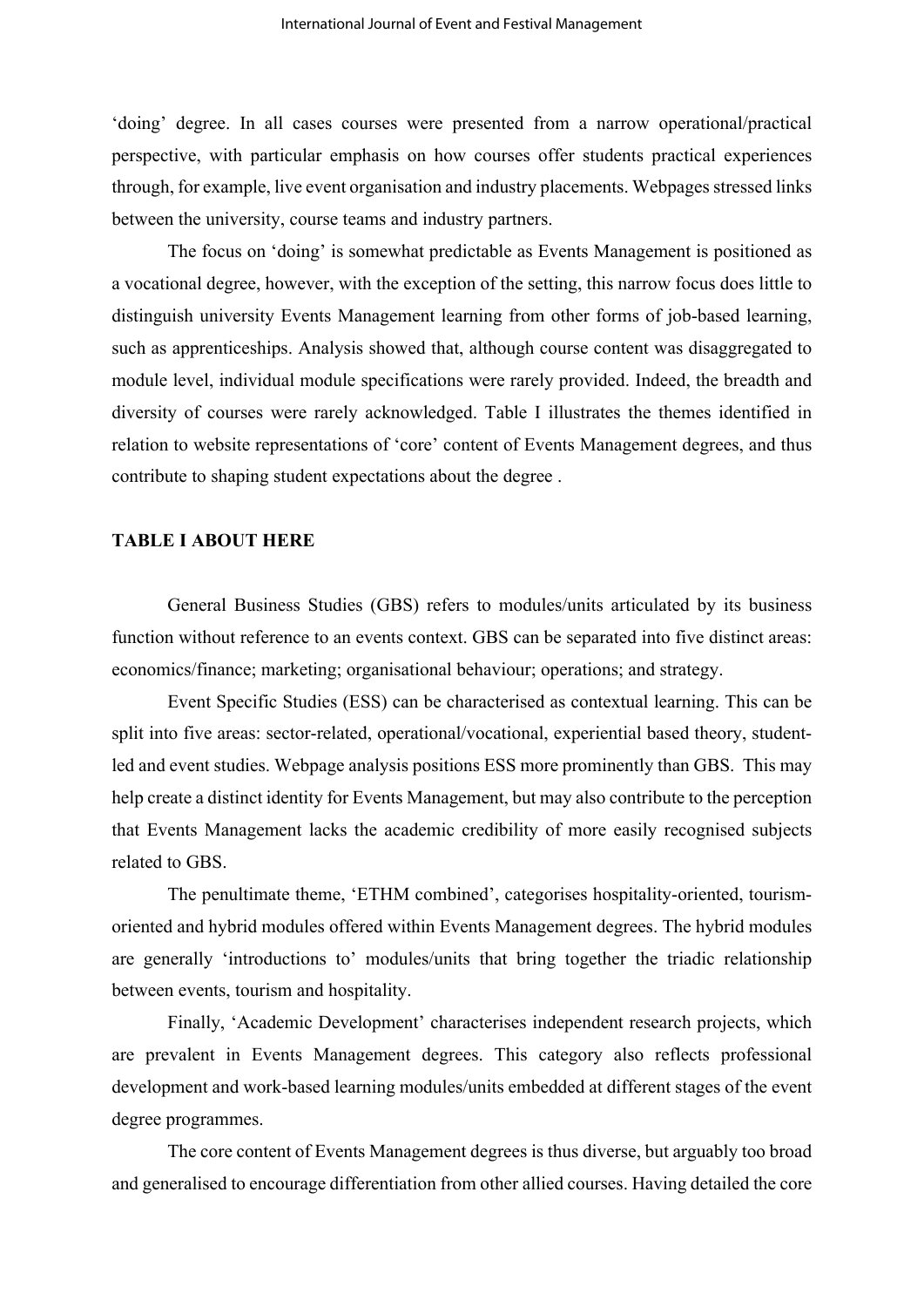'doing' degree. In all cases courses were presented from a narrow operational/practical perspective, with particular emphasis on how courses offer students practical experiences through, for example, live event organisation and industry placements. Webpages stressed links between the university, course teams and industry partners.

The focus on 'doing' is somewhat predictable as Events Management is positioned as a vocational degree, however, with the exception of the setting, this narrow focus does little to distinguish university Events Management learning from other forms of job-based learning, such as apprenticeships. Analysis showed that, although course content was disaggregated to module level, individual module specifications were rarely provided. Indeed, the breadth and diversity of courses were rarely acknowledged. Table I illustrates the themes identified in relation to website representations of 'core' content of Events Management degrees, and thus contribute to shaping student expectations about the degree .

#### **TABLE I ABOUT HERE**

General Business Studies (GBS) refers to modules/units articulated by its business function without reference to an events context. GBS can be separated into five distinct areas: economics/finance; marketing; organisational behaviour; operations; and strategy.

Event Specific Studies (ESS) can be characterised as contextual learning. This can be split into five areas: sector-related, operational/vocational, experiential based theory, studentled and event studies. Webpage analysis positions ESS more prominently than GBS. This may help create a distinct identity for Events Management, but may also contribute to the perception that Events Management lacks the academic credibility of more easily recognised subjects related to GBS.

The penultimate theme, 'ETHM combined', categorises hospitality-oriented, tourismoriented and hybrid modules offered within Events Management degrees. The hybrid modules are generally 'introductions to' modules/units that bring together the triadic relationship between events, tourism and hospitality.

Finally, 'Academic Development' characterises independent research projects, which are prevalent in Events Management degrees. This category also reflects professional development and work-based learning modules/units embedded at different stages of the event degree programmes.

The core content of Events Management degrees is thus diverse, but arguably too broad and generalised to encourage differentiation from other allied courses. Having detailed the core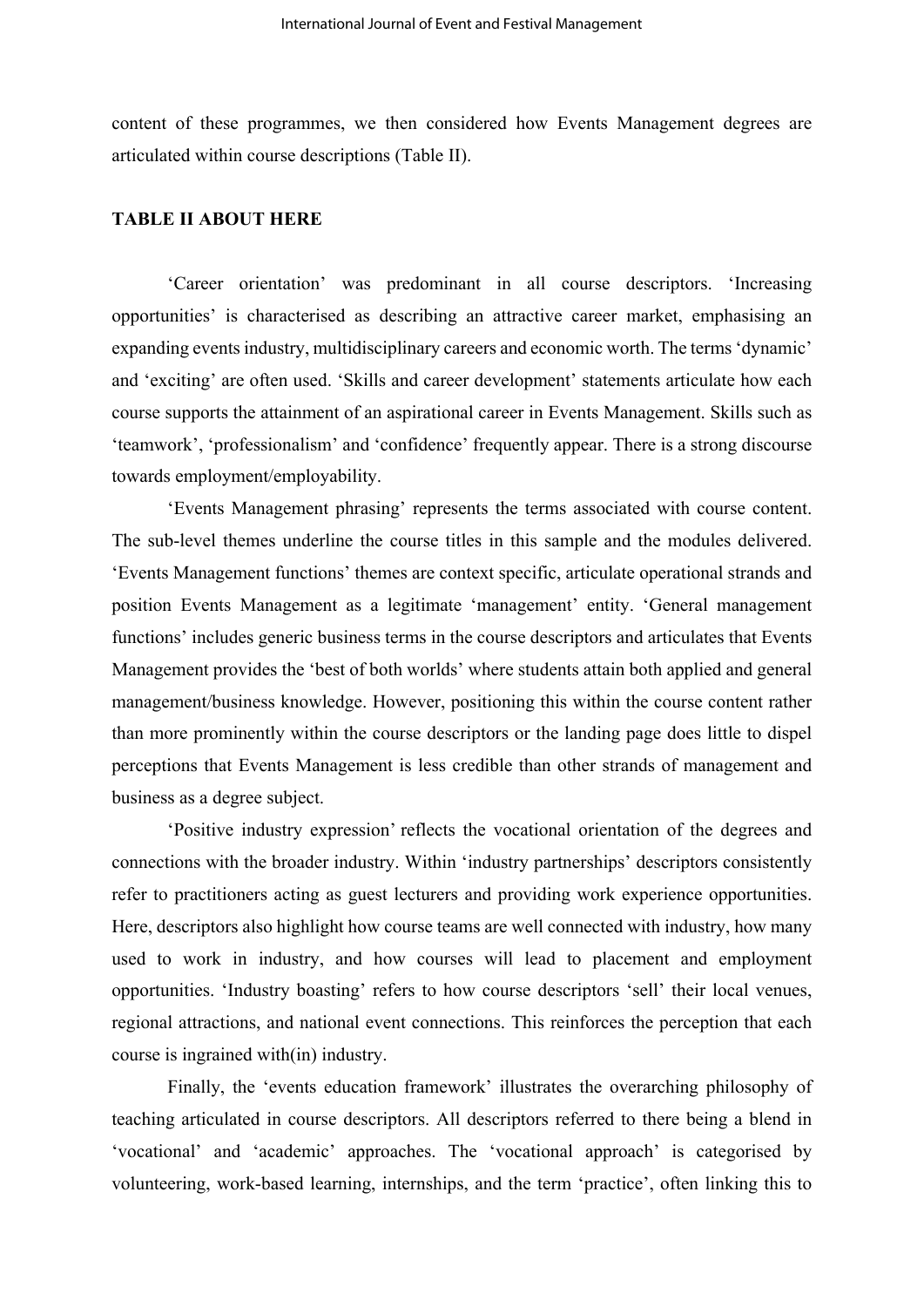content of these programmes, we then considered how Events Management degrees are articulated within course descriptions (Table II).

# **TABLE II ABOUT HERE**

'Career orientation' was predominant in all course descriptors. 'Increasing opportunities' is characterised as describing an attractive career market, emphasising an expanding events industry, multidisciplinary careers and economic worth. The terms 'dynamic' and 'exciting' are often used. 'Skills and career development' statements articulate how each course supports the attainment of an aspirational career in Events Management. Skills such as 'teamwork', 'professionalism' and 'confidence' frequently appear. There is a strong discourse towards employment/employability.

'Events Management phrasing' represents the terms associated with course content. The sub-level themes underline the course titles in this sample and the modules delivered. 'Events Management functions' themes are context specific, articulate operational strands and position Events Management as a legitimate 'management' entity. 'General management functions' includes generic business terms in the course descriptors and articulates that Events Management provides the 'best of both worlds' where students attain both applied and general management/business knowledge. However, positioning this within the course content rather than more prominently within the course descriptors or the landing page does little to dispel perceptions that Events Management is less credible than other strands of management and business as a degree subject.

'Positive industry expression' reflects the vocational orientation of the degrees and connections with the broader industry. Within 'industry partnerships' descriptors consistently refer to practitioners acting as guest lecturers and providing work experience opportunities. Here, descriptors also highlight how course teams are well connected with industry, how many used to work in industry, and how courses will lead to placement and employment opportunities. 'Industry boasting' refers to how course descriptors 'sell' their local venues, regional attractions, and national event connections. This reinforces the perception that each course is ingrained with(in) industry.

Finally, the 'events education framework' illustrates the overarching philosophy of teaching articulated in course descriptors. All descriptors referred to there being a blend in 'vocational' and 'academic' approaches. The 'vocational approach' is categorised by volunteering, work-based learning, internships, and the term 'practice', often linking this to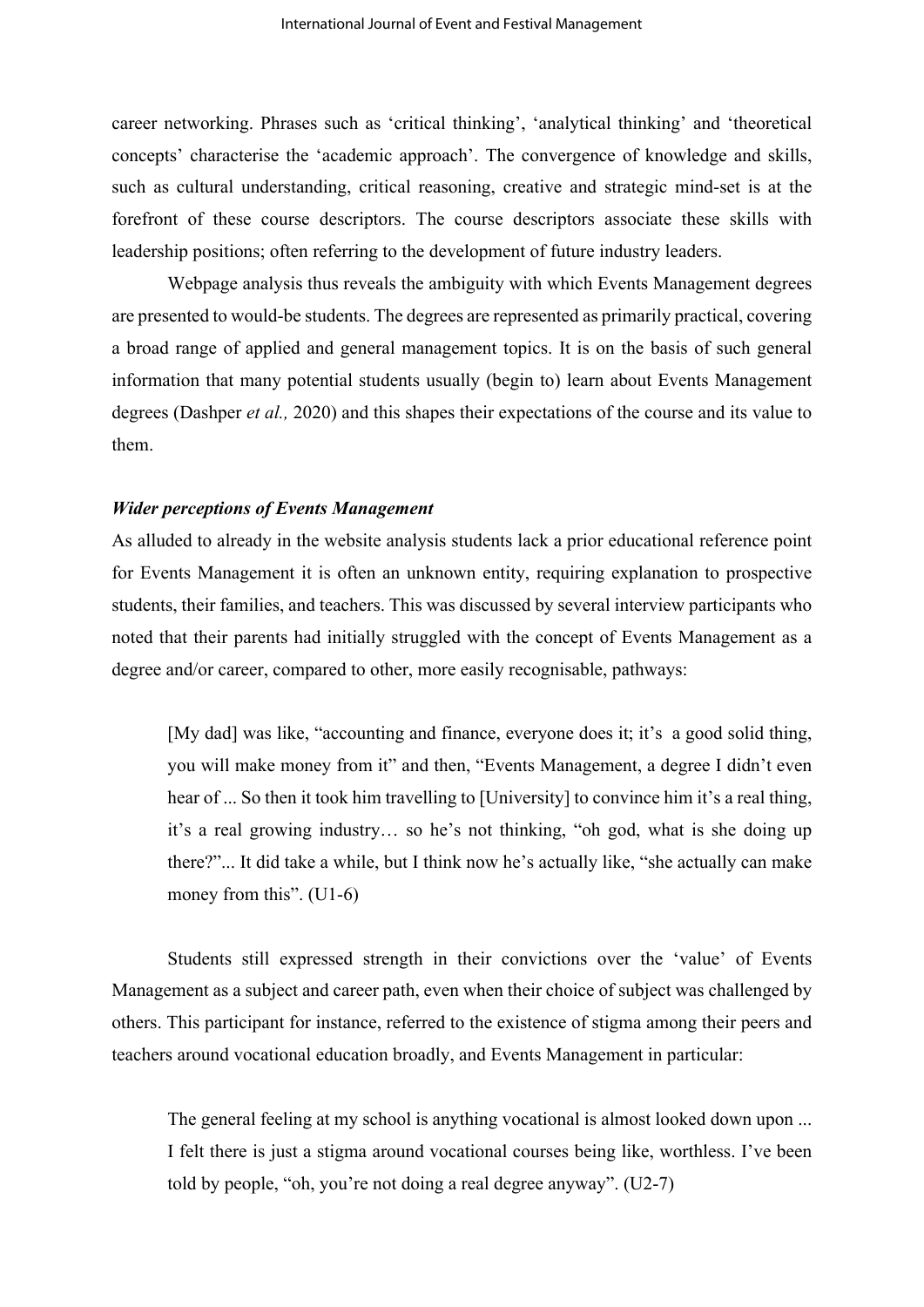career networking. Phrases such as 'critical thinking', 'analytical thinking' and 'theoretical concepts' characterise the 'academic approach'. The convergence of knowledge and skills, such as cultural understanding, critical reasoning, creative and strategic mind-set is at the forefront of these course descriptors. The course descriptors associate these skills with leadership positions; often referring to the development of future industry leaders.

Webpage analysis thus reveals the ambiguity with which Events Management degrees are presented to would-be students. The degrees are represented as primarily practical, covering a broad range of applied and general management topics. It is on the basis of such general information that many potential students usually (begin to) learn about Events Management degrees (Dashper *et al.,* 2020) and this shapes their expectations of the course and its value to them.

#### *Wider perceptions of Events Management*

As alluded to already in the website analysis students lack a prior educational reference point for Events Management it is often an unknown entity, requiring explanation to prospective students, their families, and teachers. This was discussed by several interview participants who noted that their parents had initially struggled with the concept of Events Management as a degree and/or career, compared to other, more easily recognisable, pathways:

[My dad] was like, "accounting and finance, everyone does it; it's a good solid thing, you will make money from it" and then, "Events Management, a degree I didn't even hear of ... So then it took him travelling to [University] to convince him it's a real thing, it's a real growing industry… so he's not thinking, "oh god, what is she doing up there?"... It did take a while, but I think now he's actually like, "she actually can make money from this". (U1-6)

Students still expressed strength in their convictions over the 'value' of Events Management as a subject and career path, even when their choice of subject was challenged by others. This participant for instance, referred to the existence of stigma among their peers and teachers around vocational education broadly, and Events Management in particular:

The general feeling at my school is anything vocational is almost looked down upon ... I felt there is just a stigma around vocational courses being like, worthless. I've been told by people, "oh, you're not doing a real degree anyway". (U2-7)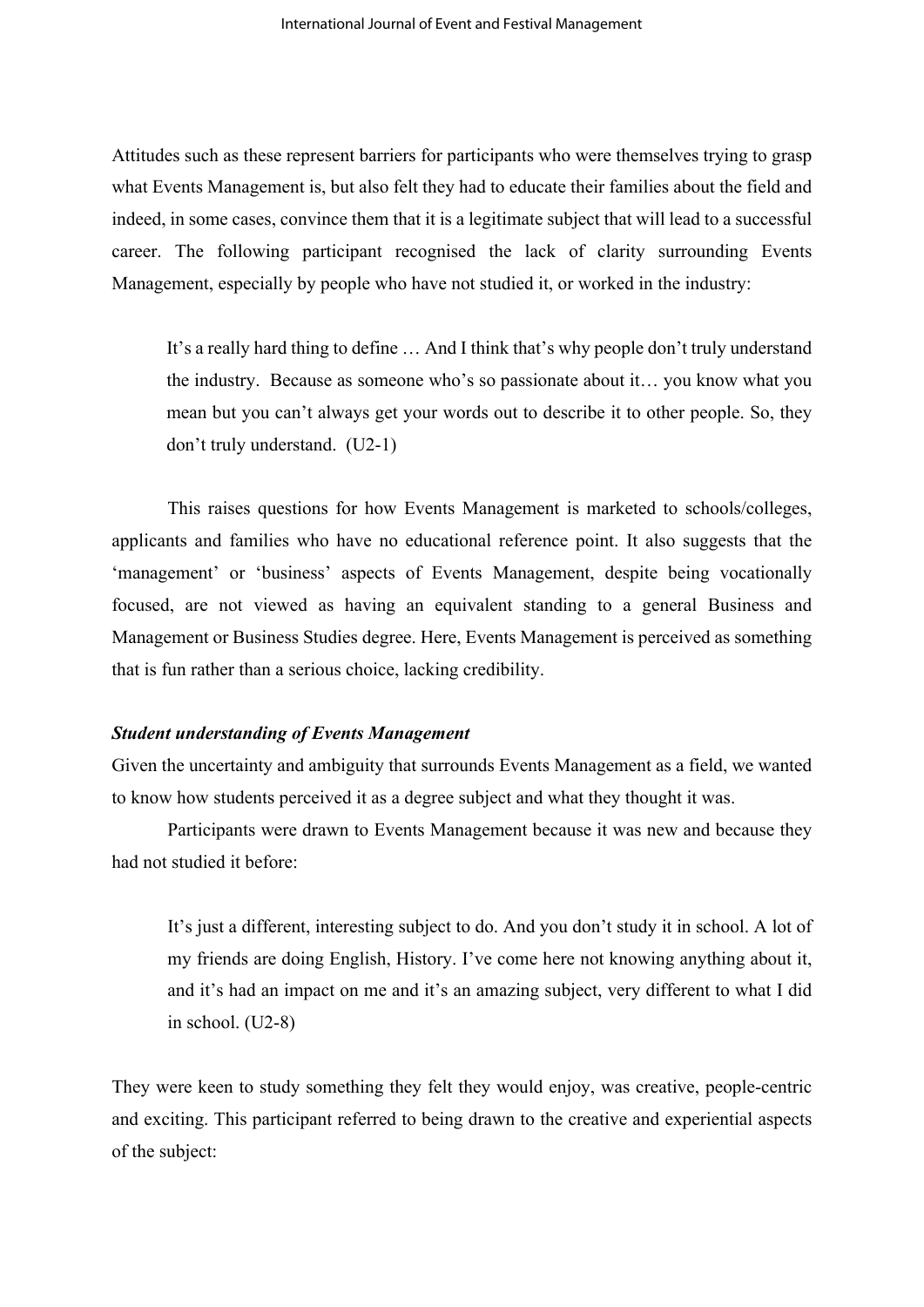Attitudes such as these represent barriers for participants who were themselves trying to grasp what Events Management is, but also felt they had to educate their families about the field and indeed, in some cases, convince them that it is a legitimate subject that will lead to a successful career. The following participant recognised the lack of clarity surrounding Events Management, especially by people who have not studied it, or worked in the industry:

It's a really hard thing to define … And I think that's why people don't truly understand the industry. Because as someone who's so passionate about it… you know what you mean but you can't always get your words out to describe it to other people. So, they don't truly understand. (U2-1)

This raises questions for how Events Management is marketed to schools/colleges, applicants and families who have no educational reference point. It also suggests that the 'management' or 'business' aspects of Events Management, despite being vocationally focused, are not viewed as having an equivalent standing to a general Business and Management or Business Studies degree. Here, Events Management is perceived as something that is fun rather than a serious choice, lacking credibility.

#### *Student understanding of Events Management*

Given the uncertainty and ambiguity that surrounds Events Management as a field, we wanted to know how students perceived it as a degree subject and what they thought it was.

Participants were drawn to Events Management because it was new and because they had not studied it before:

It's just a different, interesting subject to do. And you don't study it in school. A lot of my friends are doing English, History. I've come here not knowing anything about it, and it's had an impact on me and it's an amazing subject, very different to what I did in school. (U2-8)

They were keen to study something they felt they would enjoy, was creative, people-centric and exciting. This participant referred to being drawn to the creative and experiential aspects of the subject: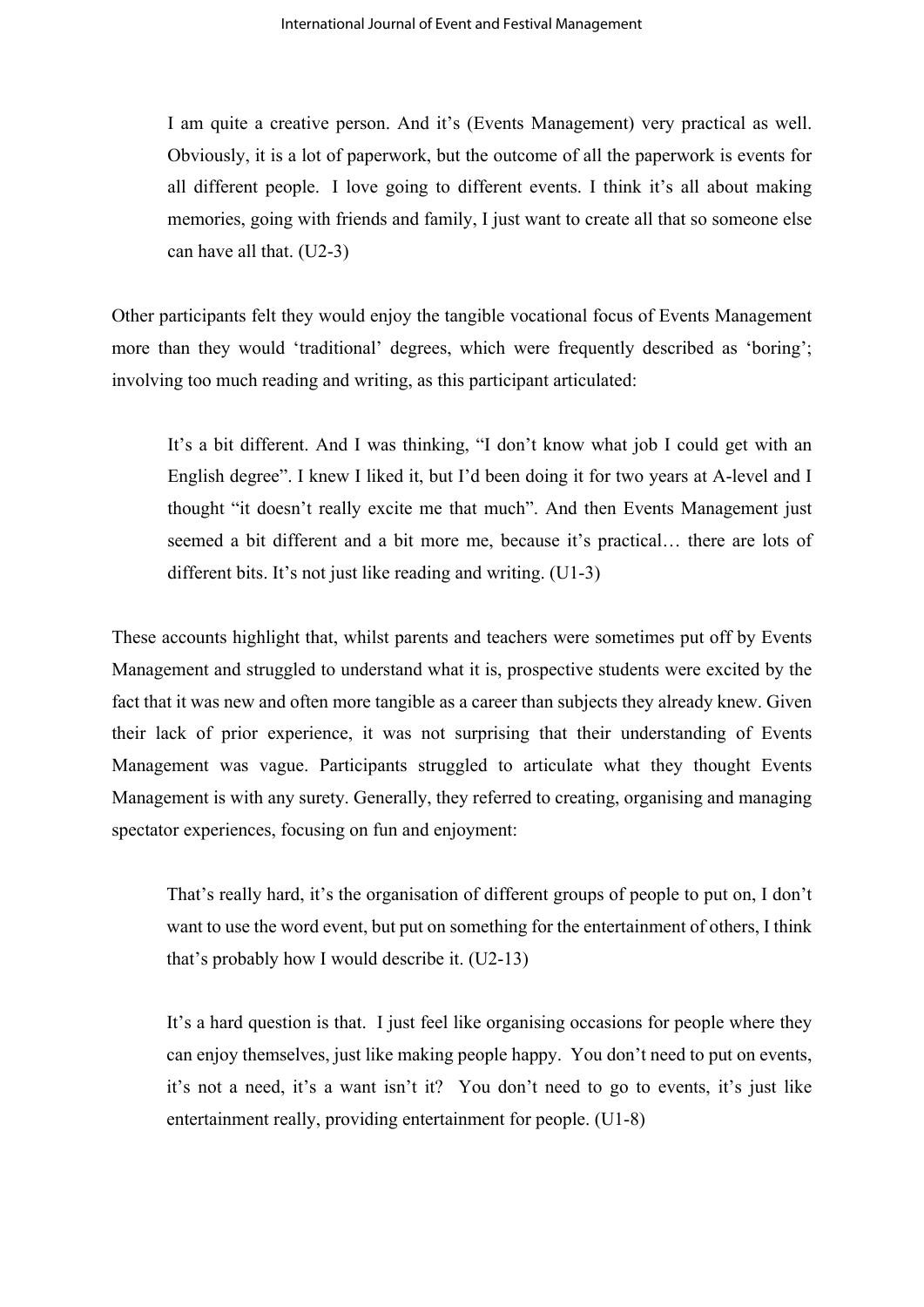I am quite a creative person. And it's (Events Management) very practical as well. Obviously, it is a lot of paperwork, but the outcome of all the paperwork is events for all different people. I love going to different events. I think it's all about making memories, going with friends and family, I just want to create all that so someone else can have all that. (U2-3)

Other participants felt they would enjoy the tangible vocational focus of Events Management more than they would 'traditional' degrees, which were frequently described as 'boring'; involving too much reading and writing, as this participant articulated:

It's a bit different. And I was thinking, "I don't know what job I could get with an English degree". I knew I liked it, but I'd been doing it for two years at A-level and I thought "it doesn't really excite me that much". And then Events Management just seemed a bit different and a bit more me, because it's practical… there are lots of different bits. It's not just like reading and writing. (U1-3)

These accounts highlight that, whilst parents and teachers were sometimes put off by Events Management and struggled to understand what it is, prospective students were excited by the fact that it was new and often more tangible as a career than subjects they already knew. Given their lack of prior experience, it was not surprising that their understanding of Events Management was vague. Participants struggled to articulate what they thought Events Management is with any surety. Generally, they referred to creating, organising and managing spectator experiences, focusing on fun and enjoyment:

That's really hard, it's the organisation of different groups of people to put on, I don't want to use the word event, but put on something for the entertainment of others, I think that's probably how I would describe it. (U2-13)

It's a hard question is that. I just feel like organising occasions for people where they can enjoy themselves, just like making people happy. You don't need to put on events, it's not a need, it's a want isn't it? You don't need to go to events, it's just like entertainment really, providing entertainment for people. (U1-8)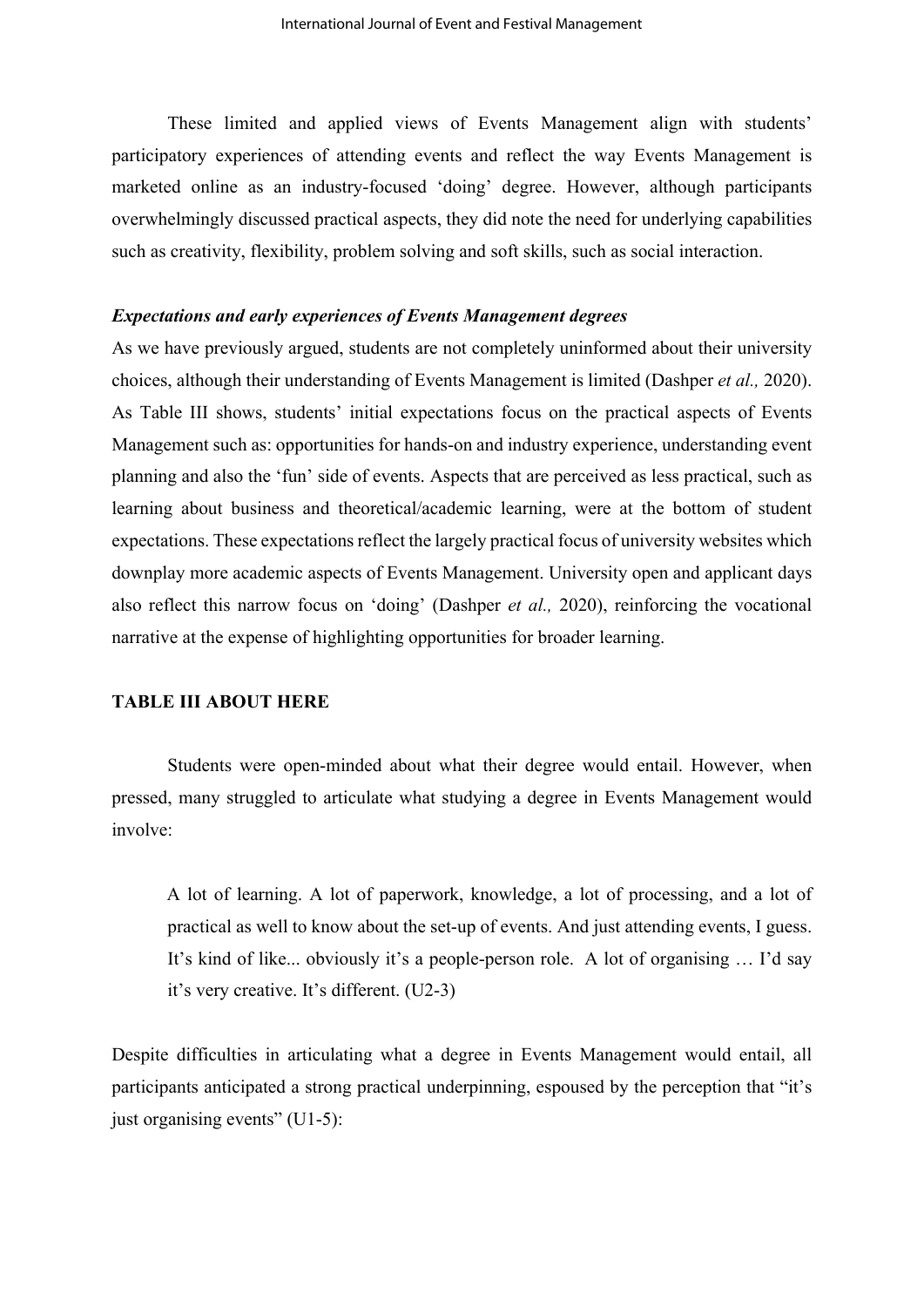These limited and applied views of Events Management align with students' participatory experiences of attending events and reflect the way Events Management is marketed online as an industry-focused 'doing' degree. However, although participants overwhelmingly discussed practical aspects, they did note the need for underlying capabilities such as creativity, flexibility, problem solving and soft skills, such as social interaction.

# *Expectations and early experiences of Events Management degrees*

As we have previously argued, students are not completely uninformed about their university choices, although their understanding of Events Management is limited (Dashper *et al.,* 2020). As Table III shows, students' initial expectations focus on the practical aspects of Events Management such as: opportunities for hands-on and industry experience, understanding event planning and also the 'fun' side of events. Aspects that are perceived as less practical, such as learning about business and theoretical/academic learning, were at the bottom of student expectations. These expectations reflect the largely practical focus of university websites which downplay more academic aspects of Events Management. University open and applicant days also reflect this narrow focus on 'doing' (Dashper *et al.,* 2020), reinforcing the vocational narrative at the expense of highlighting opportunities for broader learning.

## **TABLE III ABOUT HERE**

Students were open-minded about what their degree would entail. However, when pressed, many struggled to articulate what studying a degree in Events Management would involve:

A lot of learning. A lot of paperwork, knowledge, a lot of processing, and a lot of practical as well to know about the set-up of events. And just attending events, I guess. It's kind of like... obviously it's a people-person role. A lot of organising … I'd say it's very creative. It's different. (U2-3)

Despite difficulties in articulating what a degree in Events Management would entail, all participants anticipated a strong practical underpinning, espoused by the perception that "it's just organising events" (U1-5):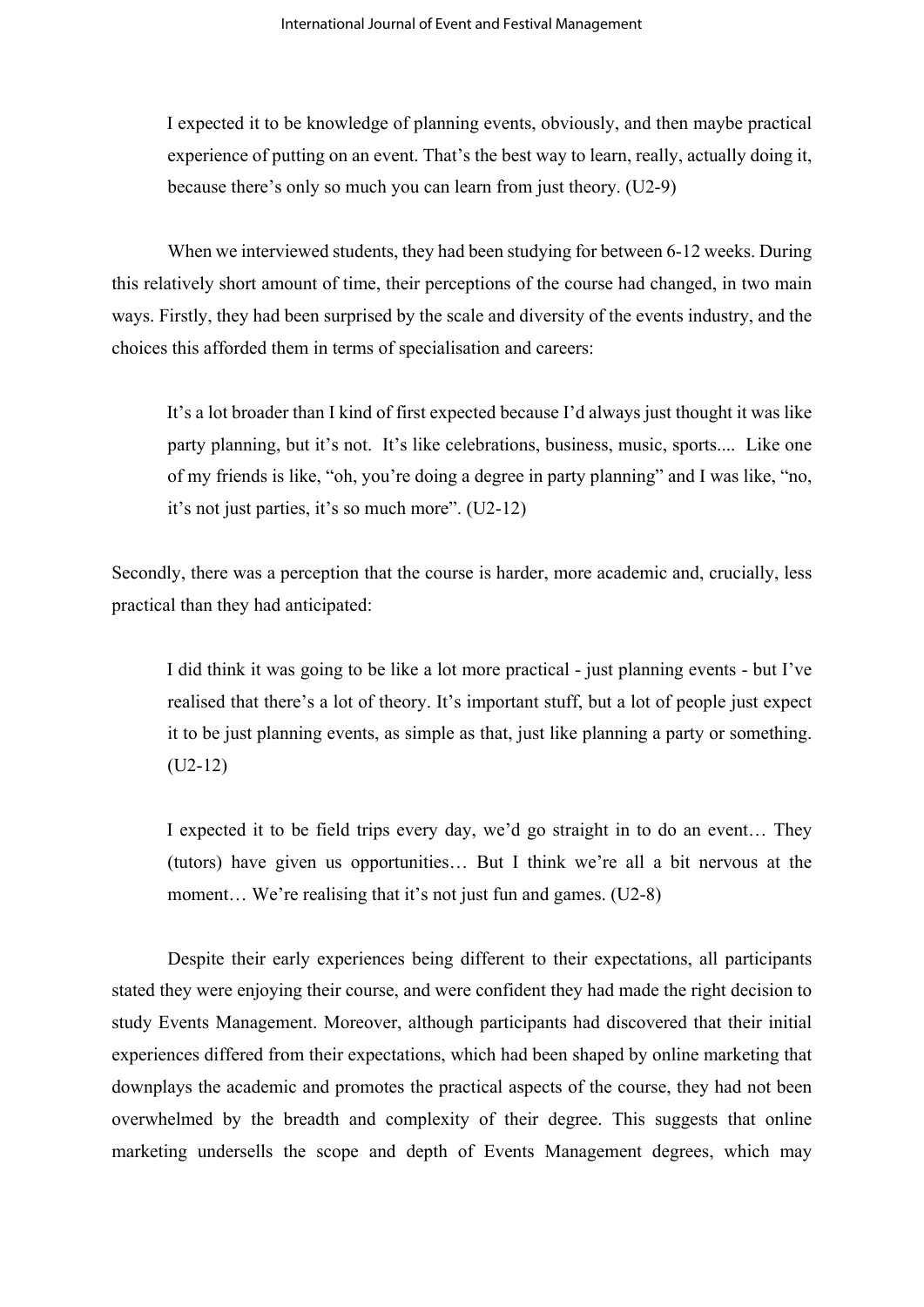I expected it to be knowledge of planning events, obviously, and then maybe practical experience of putting on an event. That's the best way to learn, really, actually doing it, because there's only so much you can learn from just theory. (U2-9)

When we interviewed students, they had been studying for between 6-12 weeks. During this relatively short amount of time, their perceptions of the course had changed, in two main ways. Firstly, they had been surprised by the scale and diversity of the events industry, and the choices this afforded them in terms of specialisation and careers:

It's a lot broader than I kind of first expected because I'd always just thought it was like party planning, but it's not. It's like celebrations, business, music, sports.... Like one of my friends is like, "oh, you're doing a degree in party planning" and I was like, "no, it's not just parties, it's so much more". (U2-12)

Secondly, there was a perception that the course is harder, more academic and, crucially, less practical than they had anticipated:

I did think it was going to be like a lot more practical - just planning events - but I've realised that there's a lot of theory. It's important stuff, but a lot of people just expect it to be just planning events, as simple as that, just like planning a party or something. (U2-12)

I expected it to be field trips every day, we'd go straight in to do an event… They (tutors) have given us opportunities… But I think we're all a bit nervous at the moment... We're realising that it's not just fun and games. (U2-8)

Despite their early experiences being different to their expectations, all participants stated they were enjoying their course, and were confident they had made the right decision to study Events Management. Moreover, although participants had discovered that their initial experiences differed from their expectations, which had been shaped by online marketing that downplays the academic and promotes the practical aspects of the course, they had not been overwhelmed by the breadth and complexity of their degree. This suggests that online marketing undersells the scope and depth of Events Management degrees, which may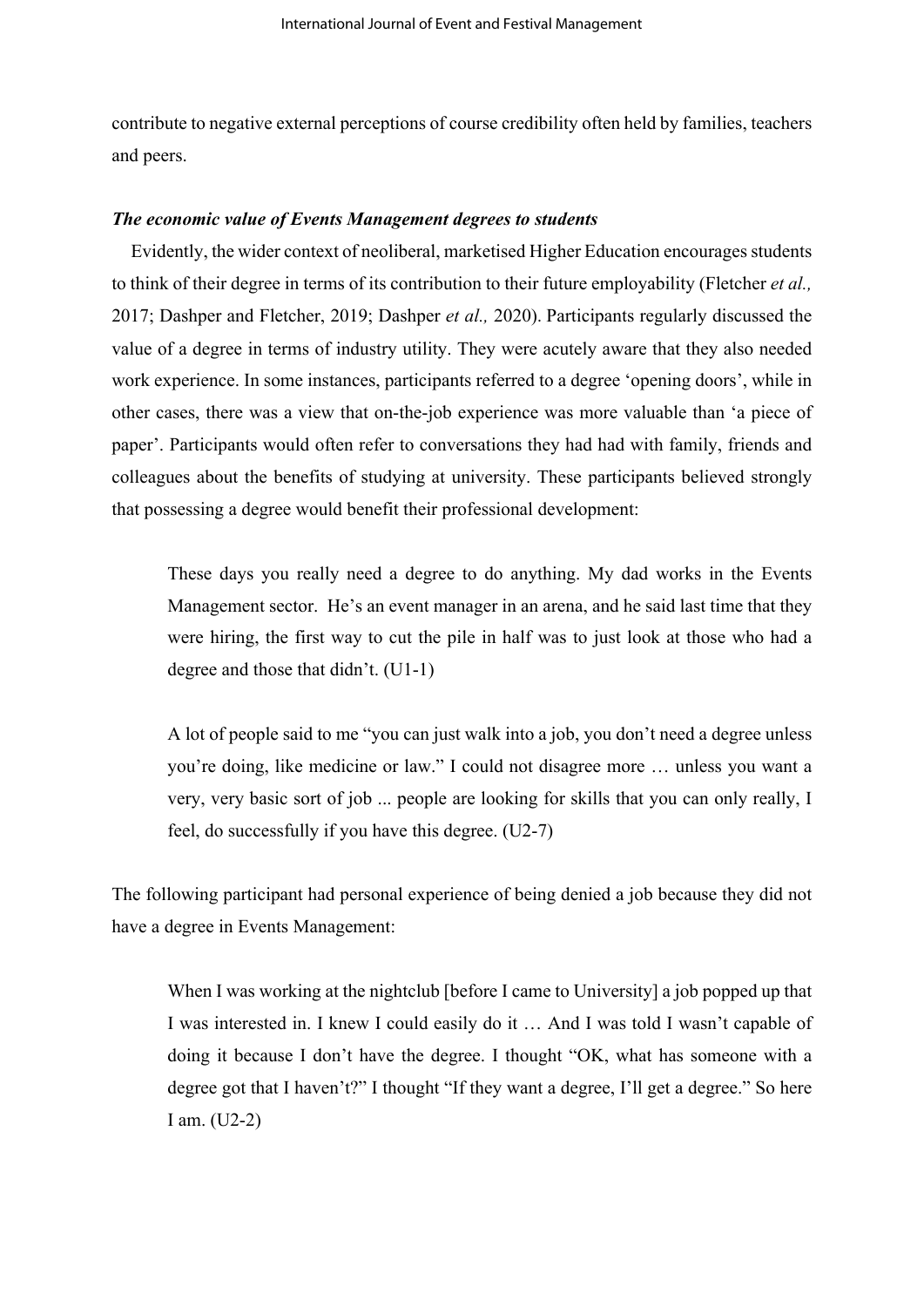contribute to negative external perceptions of course credibility often held by families, teachers and peers.

# *The economic value of Events Management degrees to students*

 Evidently, the wider context of neoliberal, marketised Higher Education encourages students to think of their degree in terms of its contribution to their future employability (Fletcher *et al.,*  2017; Dashper and Fletcher, 2019; Dashper *et al.,* 2020). Participants regularly discussed the value of a degree in terms of industry utility. They were acutely aware that they also needed work experience. In some instances, participants referred to a degree 'opening doors', while in other cases, there was a view that on-the-job experience was more valuable than 'a piece of paper'. Participants would often refer to conversations they had had with family, friends and colleagues about the benefits of studying at university. These participants believed strongly that possessing a degree would benefit their professional development:

These days you really need a degree to do anything. My dad works in the Events Management sector. He's an event manager in an arena, and he said last time that they were hiring, the first way to cut the pile in half was to just look at those who had a degree and those that didn't. (U1-1)

A lot of people said to me "you can just walk into a job, you don't need a degree unless you're doing, like medicine or law." I could not disagree more … unless you want a very, very basic sort of job ... people are looking for skills that you can only really, I feel, do successfully if you have this degree. (U2-7)

The following participant had personal experience of being denied a job because they did not have a degree in Events Management:

When I was working at the nightclub [before I came to University] a job popped up that I was interested in. I knew I could easily do it … And I was told I wasn't capable of doing it because I don't have the degree. I thought "OK, what has someone with a degree got that I haven't?" I thought "If they want a degree, I'll get a degree." So here I am. (U2-2)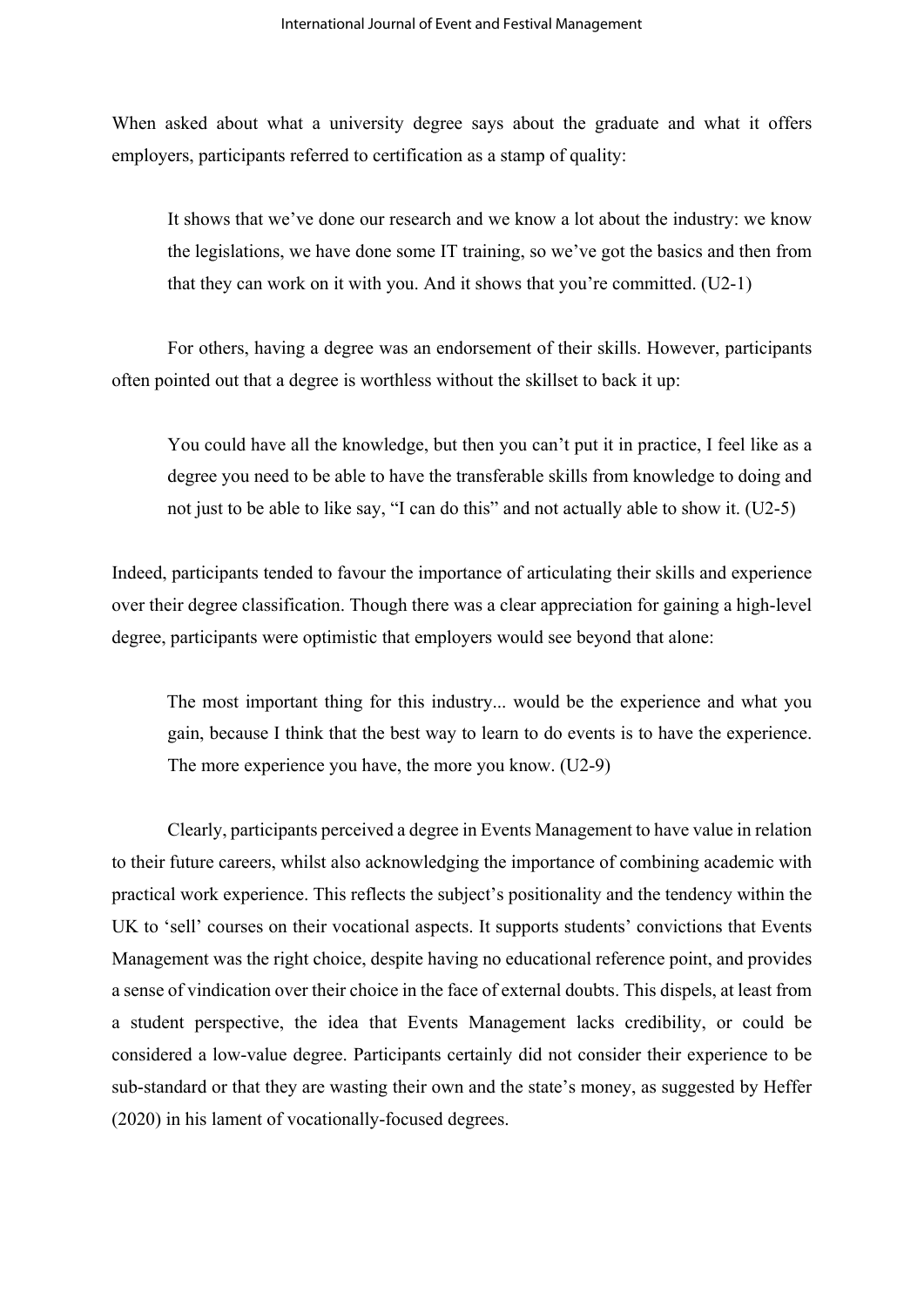When asked about what a university degree says about the graduate and what it offers employers, participants referred to certification as a stamp of quality:

It shows that we've done our research and we know a lot about the industry: we know the legislations, we have done some IT training, so we've got the basics and then from that they can work on it with you. And it shows that you're committed. (U2-1)

For others, having a degree was an endorsement of their skills. However, participants often pointed out that a degree is worthless without the skillset to back it up:

You could have all the knowledge, but then you can't put it in practice, I feel like as a degree you need to be able to have the transferable skills from knowledge to doing and not just to be able to like say, "I can do this" and not actually able to show it. (U2-5)

Indeed, participants tended to favour the importance of articulating their skills and experience over their degree classification. Though there was a clear appreciation for gaining a high-level degree, participants were optimistic that employers would see beyond that alone:

The most important thing for this industry... would be the experience and what you gain, because I think that the best way to learn to do events is to have the experience. The more experience you have, the more you know. (U2-9)

Clearly, participants perceived a degree in Events Management to have value in relation to their future careers, whilst also acknowledging the importance of combining academic with practical work experience. This reflects the subject's positionality and the tendency within the UK to 'sell' courses on their vocational aspects. It supports students' convictions that Events Management was the right choice, despite having no educational reference point, and provides a sense of vindication over their choice in the face of external doubts. This dispels, at least from a student perspective, the idea that Events Management lacks credibility, or could be considered a low-value degree. Participants certainly did not consider their experience to be sub-standard or that they are wasting their own and the state's money, as suggested by Heffer (2020) in his lament of vocationally-focused degrees.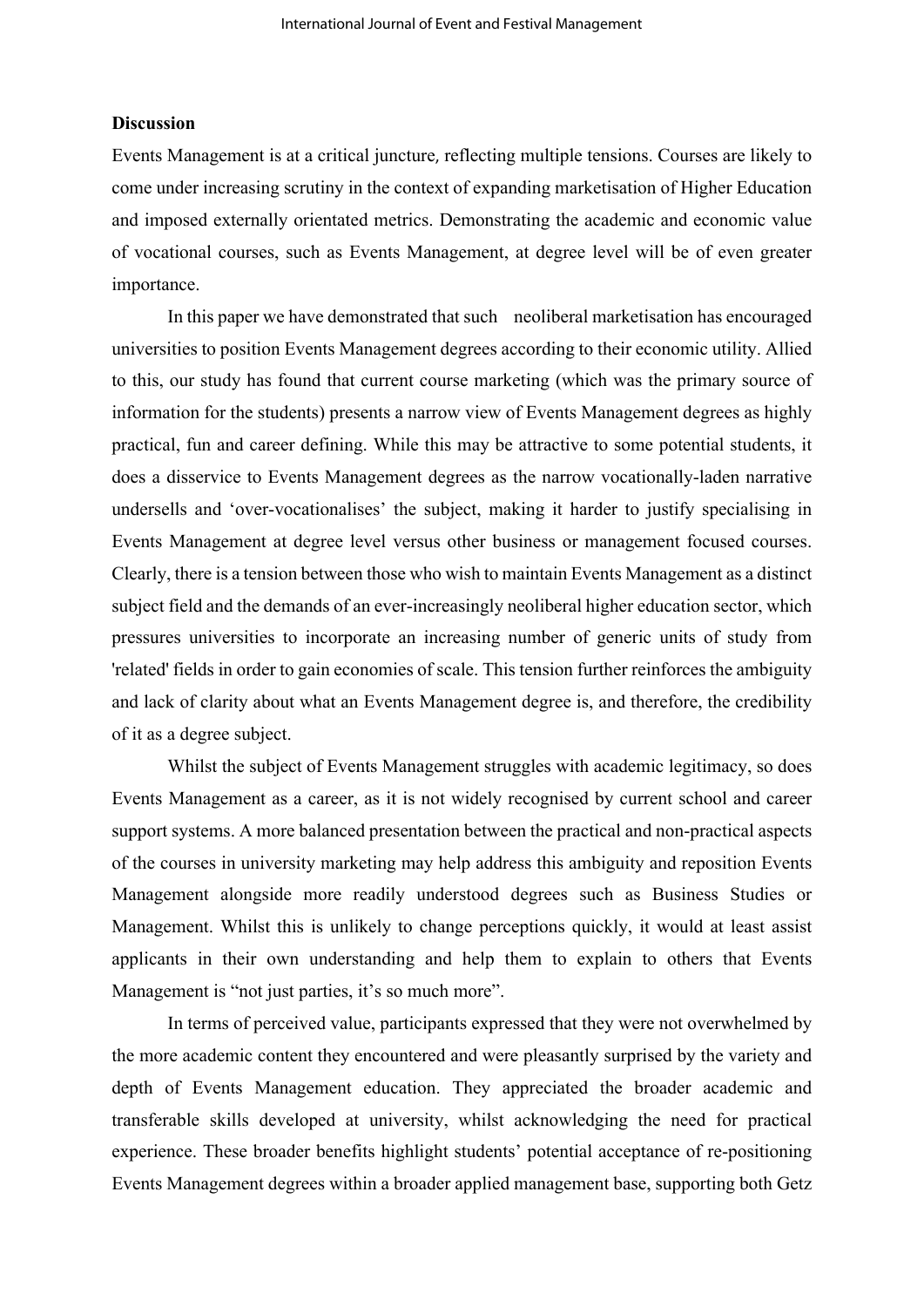### **Discussion**

Events Management is at a critical juncture, reflecting multiple tensions. Courses are likely to come under increasing scrutiny in the context of expanding marketisation of Higher Education and imposed externally orientated metrics. Demonstrating the academic and economic value of vocational courses, such as Events Management, at degree level will be of even greater importance.

In this paper we have demonstrated that such neoliberal marketisation has encouraged universities to position Events Management degrees according to their economic utility. Allied to this, our study has found that current course marketing (which was the primary source of information for the students) presents a narrow view of Events Management degrees as highly practical, fun and career defining. While this may be attractive to some potential students, it does a disservice to Events Management degrees as the narrow vocationally-laden narrative undersells and 'over-vocationalises' the subject, making it harder to justify specialising in Events Management at degree level versus other business or management focused courses. Clearly, there is a tension between those who wish to maintain Events Management as a distinct subject field and the demands of an ever-increasingly neoliberal higher education sector, which pressures universities to incorporate an increasing number of generic units of study from 'related' fields in order to gain economies of scale. This tension further reinforces the ambiguity and lack of clarity about what an Events Management degree is, and therefore, the credibility of it as a degree subject.

Whilst the subject of Events Management struggles with academic legitimacy, so does Events Management as a career, as it is not widely recognised by current school and career support systems. A more balanced presentation between the practical and non-practical aspects of the courses in university marketing may help address this ambiguity and reposition Events Management alongside more readily understood degrees such as Business Studies or Management. Whilst this is unlikely to change perceptions quickly, it would at least assist applicants in their own understanding and help them to explain to others that Events Management is "not just parties, it's so much more".

In terms of perceived value, participants expressed that they were not overwhelmed by the more academic content they encountered and were pleasantly surprised by the variety and depth of Events Management education. They appreciated the broader academic and transferable skills developed at university, whilst acknowledging the need for practical experience. These broader benefits highlight students' potential acceptance of re-positioning Events Management degrees within a broader applied management base, supporting both Getz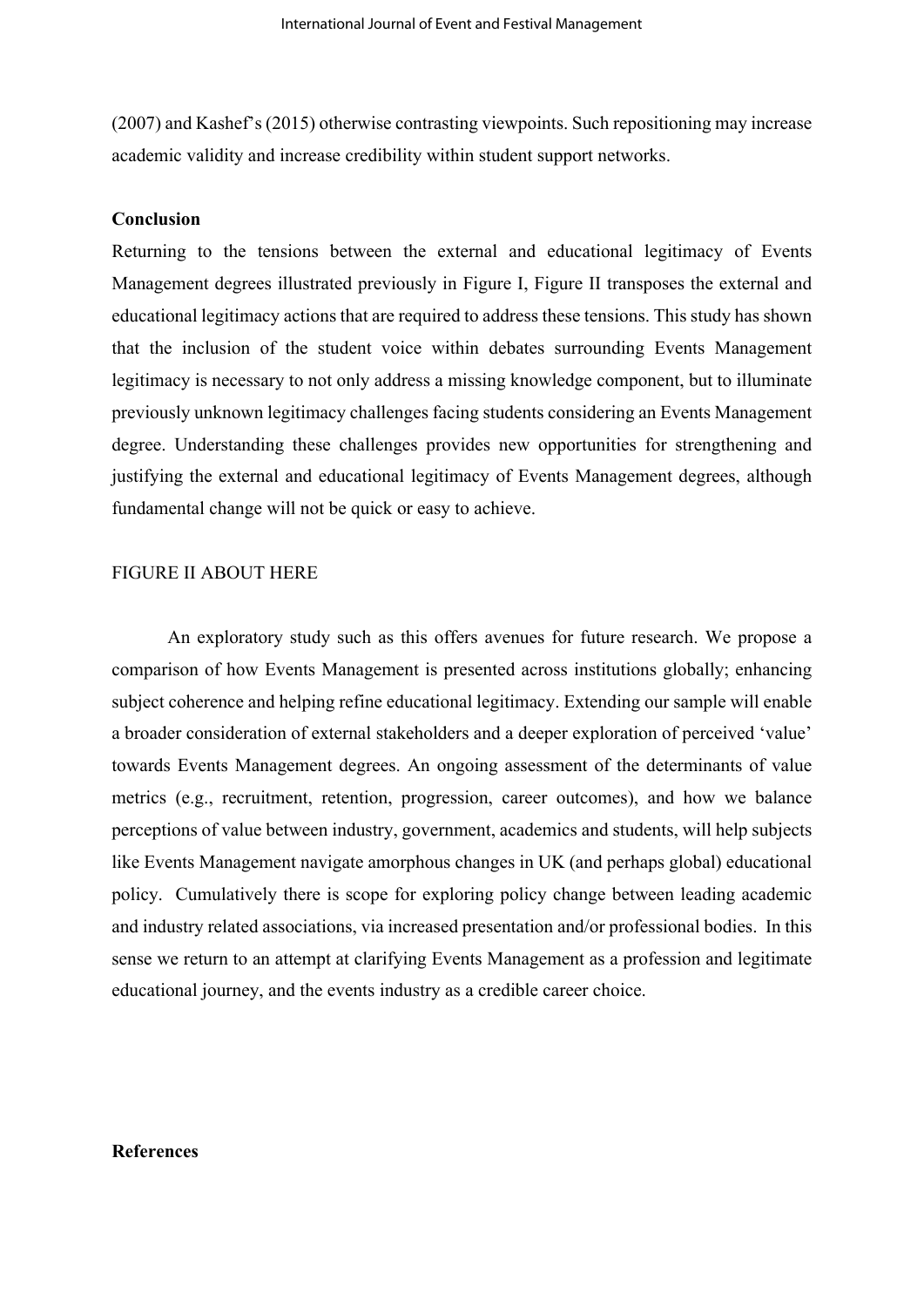(2007) and Kashef's (2015) otherwise contrasting viewpoints. Such repositioning may increase academic validity and increase credibility within student support networks.

# **Conclusion**

Returning to the tensions between the external and educational legitimacy of Events Management degrees illustrated previously in Figure I, Figure II transposes the external and educational legitimacy actions that are required to address these tensions. This study has shown that the inclusion of the student voice within debates surrounding Events Management legitimacy is necessary to not only address a missing knowledge component, but to illuminate previously unknown legitimacy challenges facing students considering an Events Management degree. Understanding these challenges provides new opportunities for strengthening and justifying the external and educational legitimacy of Events Management degrees, although fundamental change will not be quick or easy to achieve.

# FIGURE II ABOUT HERE

An exploratory study such as this offers avenues for future research. We propose a comparison of how Events Management is presented across institutions globally; enhancing subject coherence and helping refine educational legitimacy. Extending our sample will enable a broader consideration of external stakeholders and a deeper exploration of perceived 'value' towards Events Management degrees. An ongoing assessment of the determinants of value metrics (e.g., recruitment, retention, progression, career outcomes), and how we balance perceptions of value between industry, government, academics and students, will help subjects like Events Management navigate amorphous changes in UK (and perhaps global) educational policy. Cumulatively there is scope for exploring policy change between leading academic and industry related associations, via increased presentation and/or professional bodies. In this sense we return to an attempt at clarifying Events Management as a profession and legitimate educational journey, and the events industry as a credible career choice.

## **References**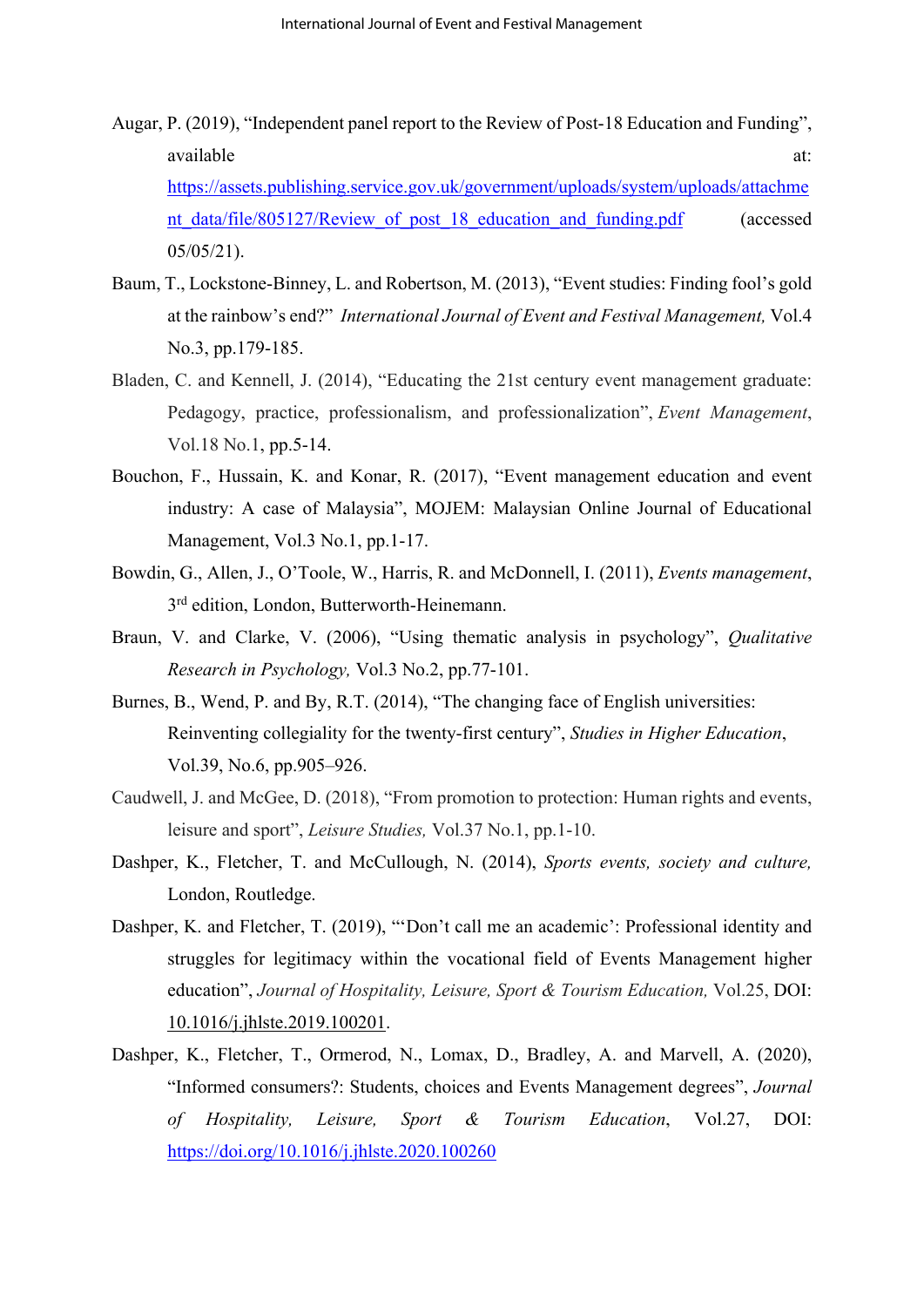- Augar, P. (2019), "Independent panel report to the Review of Post-18 Education and Funding", available at: and a state at  $\alpha$  at: https://assets.publishing.service.gov.uk/government/uploads/system/uploads/attachme nt\_data/file/805127/Review\_of\_post\_18\_education\_and\_funding.pdf (accessed 05/05/21).
- Baum, T., Lockstone-Binney, L. and Robertson, M. (2013), "Event studies: Finding fool's gold at the rainbow's end?" *International Journal of Event and Festival Management,* Vol.4 No.3, pp.179-185.
- Bladen, C. and Kennell, J. (2014), "Educating the 21st century event management graduate: Pedagogy, practice, professionalism, and professionalization", *Event Management*, Vol.18 No.1, pp.5-14.
- Bouchon, F., Hussain, K. and Konar, R. (2017), "Event management education and event industry: A case of Malaysia", MOJEM: Malaysian Online Journal of Educational Management, Vol.3 No.1, pp.1-17.
- Bowdin, G., Allen, J., O'Toole, W., Harris, R. and McDonnell, I. (2011), *Events management*, 3 rd edition, London, Butterworth-Heinemann.
- Braun, V. and Clarke, V. (2006), "Using thematic analysis in psychology", *Qualitative Research in Psychology,* Vol.3 No.2, pp.77-101.
- Burnes, B., Wend, P. and By, R.T. (2014), "The changing face of English universities: Reinventing collegiality for the twenty-first century", *Studies in Higher Education*, Vol.39, No.6, pp.905–926.
- Caudwell, J. and McGee, D. (2018), "From promotion to protection: Human rights and events, leisure and sport", *Leisure Studies,* Vol.37 No.1, pp.1-10.
- Dashper, K., Fletcher, T. and McCullough, N. (2014), *Sports events, society and culture,*  London, Routledge.
- Dashper, K. and Fletcher, T. (2019), "'Don't call me an academic': Professional identity and struggles for legitimacy within the vocational field of Events Management higher education", *Journal of Hospitality, Leisure, Sport & Tourism Education,* Vol.25, DOI: [10.1016/j.jhlste.2019.100201.](https://doi.org/10.1016/j.jhlste.2019.100201)
- Dashper, K., Fletcher, T., Ormerod, N., Lomax, D., Bradley, A. and Marvell, A. (2020), "Informed consumers?: Students, choices and Events Management degrees", *Journal of Hospitality, Leisure, Sport & Tourism Education*, Vol.27, DOI: <https://doi.org/10.1016/j.jhlste.2020.100260>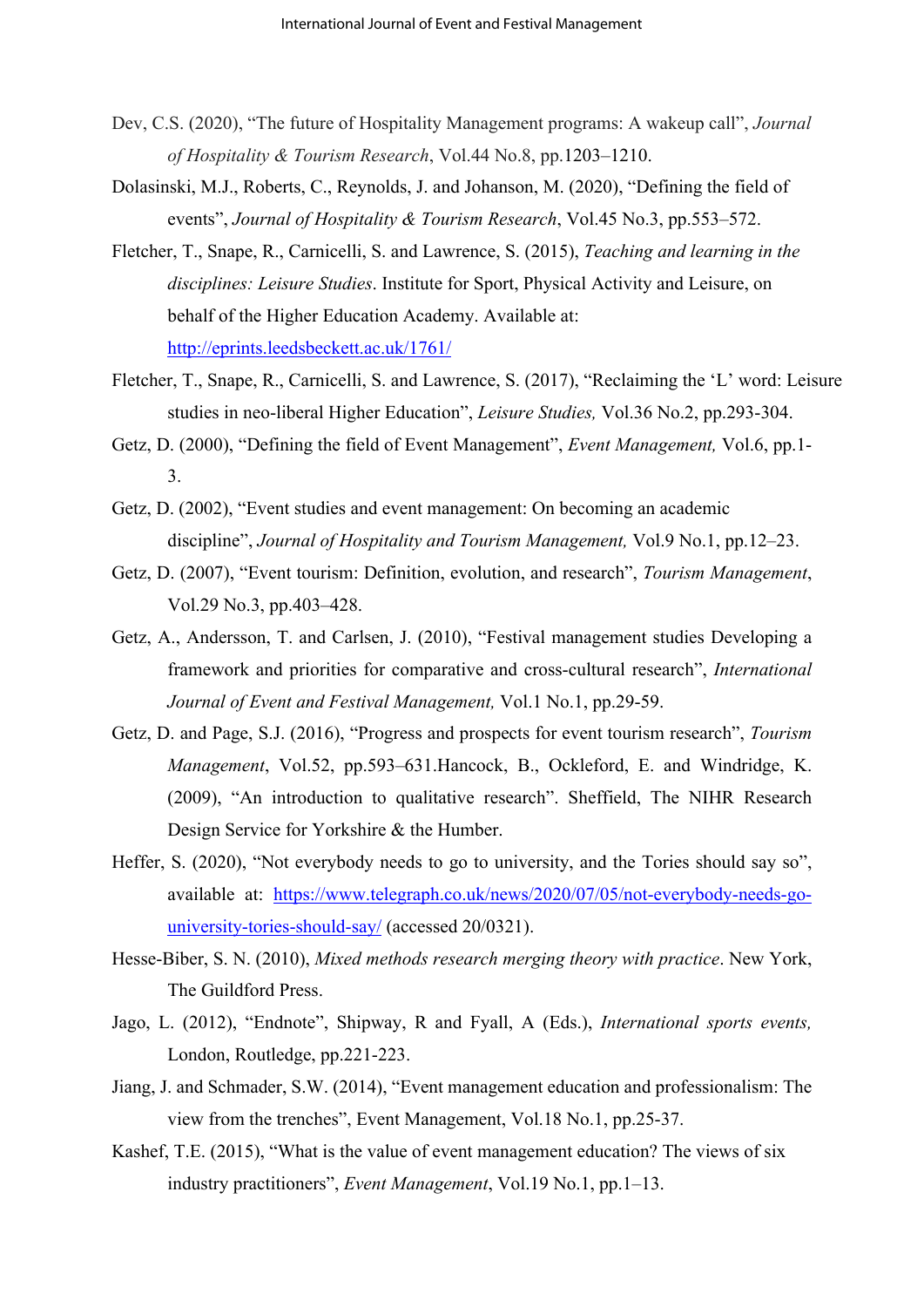- Dev, C.S. (2020), "The future of Hospitality Management programs: A wakeup call", *Journal of Hospitality & Tourism Research*, Vol.44 No.8, pp.1203–1210.
- Dolasinski, M.J., Roberts, C., Reynolds, J. and Johanson, M. (2020), "Defining the field of events", *Journal of Hospitality & Tourism Research*, Vol.45 No.3, pp.553–572.
- Fletcher, T., Snape, R., Carnicelli, S. and Lawrence, S. (2015), *Teaching and learning in the disciplines: Leisure Studies*. Institute for Sport, Physical Activity and Leisure, on behalf of the Higher Education Academy. Available at: http://eprints.leedsbeckett.ac.uk/1761/
- Fletcher, T., Snape, R., Carnicelli, S. and Lawrence, S. (2017), "Reclaiming the 'L' word: Leisure studies in neo-liberal Higher Education", *Leisure Studies,* Vol.36 No.2, pp.293-304.
- Getz, D. (2000), "Defining the field of Event Management", *Event Management,* Vol.6, pp.1- 3.
- Getz, D. (2002), "Event studies and event management: On becoming an academic discipline", *Journal of Hospitality and Tourism Management,* Vol.9 No.1, pp.12–23.
- Getz, D. (2007), "Event tourism: Definition, evolution, and research", *Tourism Management*, Vol.29 No.3, pp.403–428.
- Getz, A., Andersson, T. and Carlsen, J. (2010), "Festival management studies Developing a framework and priorities for comparative and cross-cultural research", *International Journal of Event and Festival Management,* Vol.1 No.1, pp.29-59.
- Getz, D. and Page, S.J. (2016), "Progress and prospects for event tourism research", *Tourism Management*, Vol.52, pp.593–631.Hancock, B., Ockleford, E. and Windridge, K. (2009), "An introduction to qualitative research". Sheffield, The NIHR Research Design Service for Yorkshire & the Humber.
- Heffer, S. (2020), "Not everybody needs to go to university, and the Tories should say so", available at: https://www.telegraph.co.uk/news/2020/07/05/not-everybody-needs-go[university-tories-should-say/](https://www.telegraph.co.uk/news/2020/07/05/not-everybody-needs-go-university-tories-should-say/) (accessed 20/0321).
- Hesse-Biber, S. N. (2010), *Mixed methods research merging theory with practice*. New York, The Guildford Press.
- Jago, L. (2012), "Endnote", Shipway, R and Fyall, A (Eds.), *International sports events,*  London, Routledge, pp.221-223.
- Jiang, J. and Schmader, S.W. (2014), "Event management education and professionalism: The view from the trenches", Event Management, Vol.18 No.1, pp.25-37.
- Kashef, T.E. (2015), "What is the value of event management education? The views of six industry practitioners", *Event Management*, Vol.19 No.1, pp.1–13.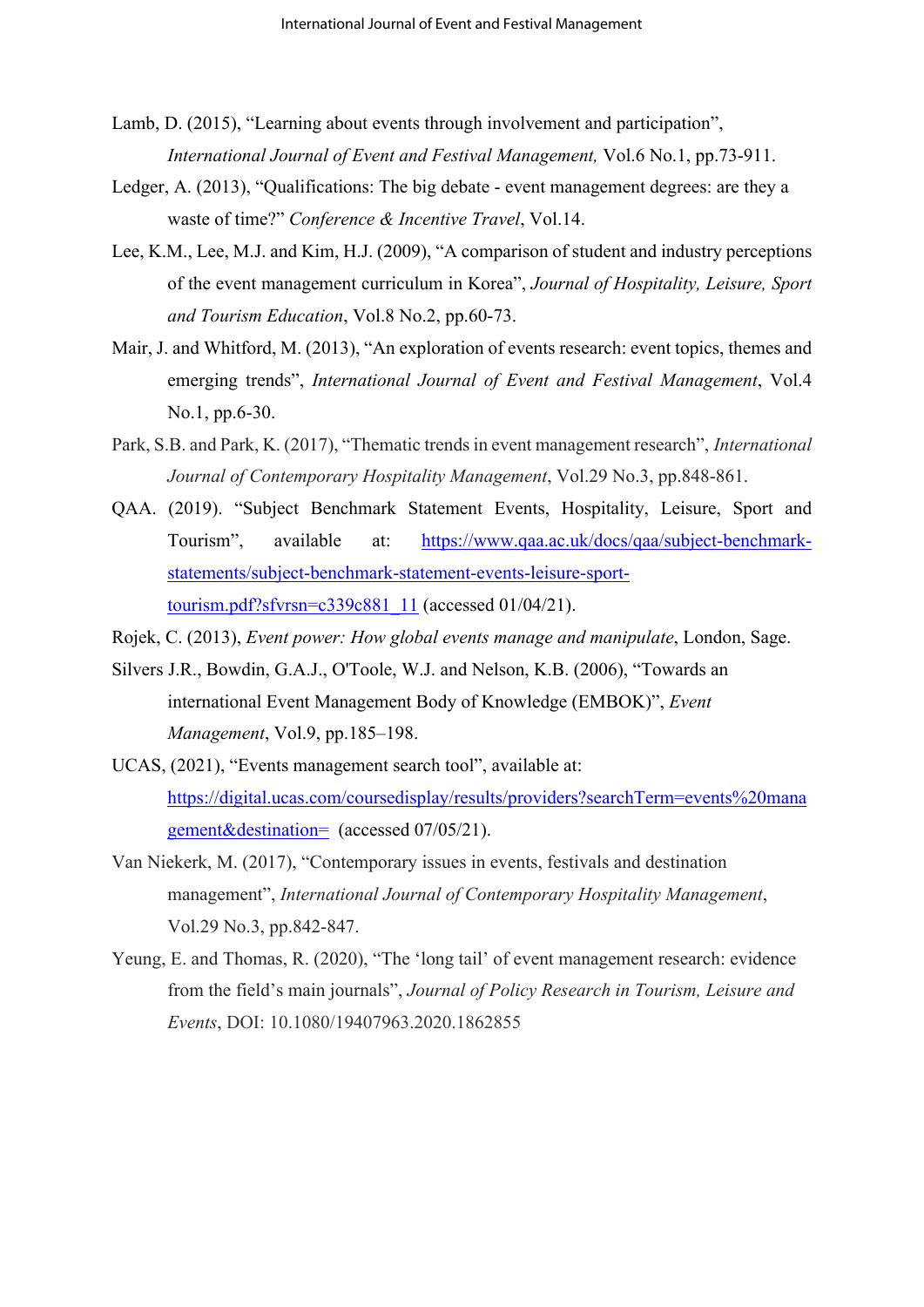- Lamb, D. (2015), "Learning about events through involvement and participation", *International Journal of Event and Festival Management,* Vol.6 No.1, pp.73-911.
- Ledger, A. (2013), "Qualifications: The big debate event management degrees: are they a waste of time?" *Conference & Incentive Travel*, Vol.14.
- Lee, K.M., Lee, M.J. and Kim, H.J. (2009), "A comparison of student and industry perceptions of the event management curriculum in Korea", *Journal of Hospitality, Leisure, Sport and Tourism Education*, Vol.8 No.2, pp.60-73.
- Mair, J. and Whitford, M. (2013), "An exploration of events research: event topics, themes and emerging trends", *International Journal of Event and Festival Management*, Vol.4 No.1, pp.6-30.
- Park, S.B. and Park, K. (2017), "Thematic trends in event management research", *International Journal of Contemporary Hospitality Management*, Vol.29 No.3, pp.848-861.
- QAA. (2019). "Subject Benchmark Statement Events, Hospitality, Leisure, Sport and Tourism", available at: https://www.qaa.ac.uk/docs/qaa/subject-benchmarkstatements/subject-benchmark-statement-events-leisure-sporttourism.pdf?sfvrsn=c339c881\_11 (accessed 01/04/21).
- Rojek, C. (2013), *Event power: How global events manage and manipulate*, London, Sage.
- Silvers J.R., Bowdin, G.A.J., O'Toole, W.J. and Nelson, K.B. (2006), "Towards an international Event Management Body of Knowledge (EMBOK)", *Event Management*, Vol.9, pp.185–198.
- UCAS, (2021), "Events management search tool", available at: https://digital.ucas.com/coursedisplay/results/providers?searchTerm=events%20mana [gement&destination=](https://digital.ucas.com/coursedisplay/results/providers?searchTerm=events%20management&destination=) (accessed 07/05/21).
- Van Niekerk, M. (2017), "Contemporary issues in events, festivals and destination management", *International Journal of Contemporary Hospitality Management*, Vol.29 No.3, pp.842-847.
- Yeung, E. and Thomas, R. (2020), "The 'long tail' of event management research: evidence from the field's main journals", *Journal of Policy Research in Tourism, Leisure and Events*, DOI: [10.1080/19407963.2020.1862855](https://doi.org/10.1080/19407963.2020.1862855)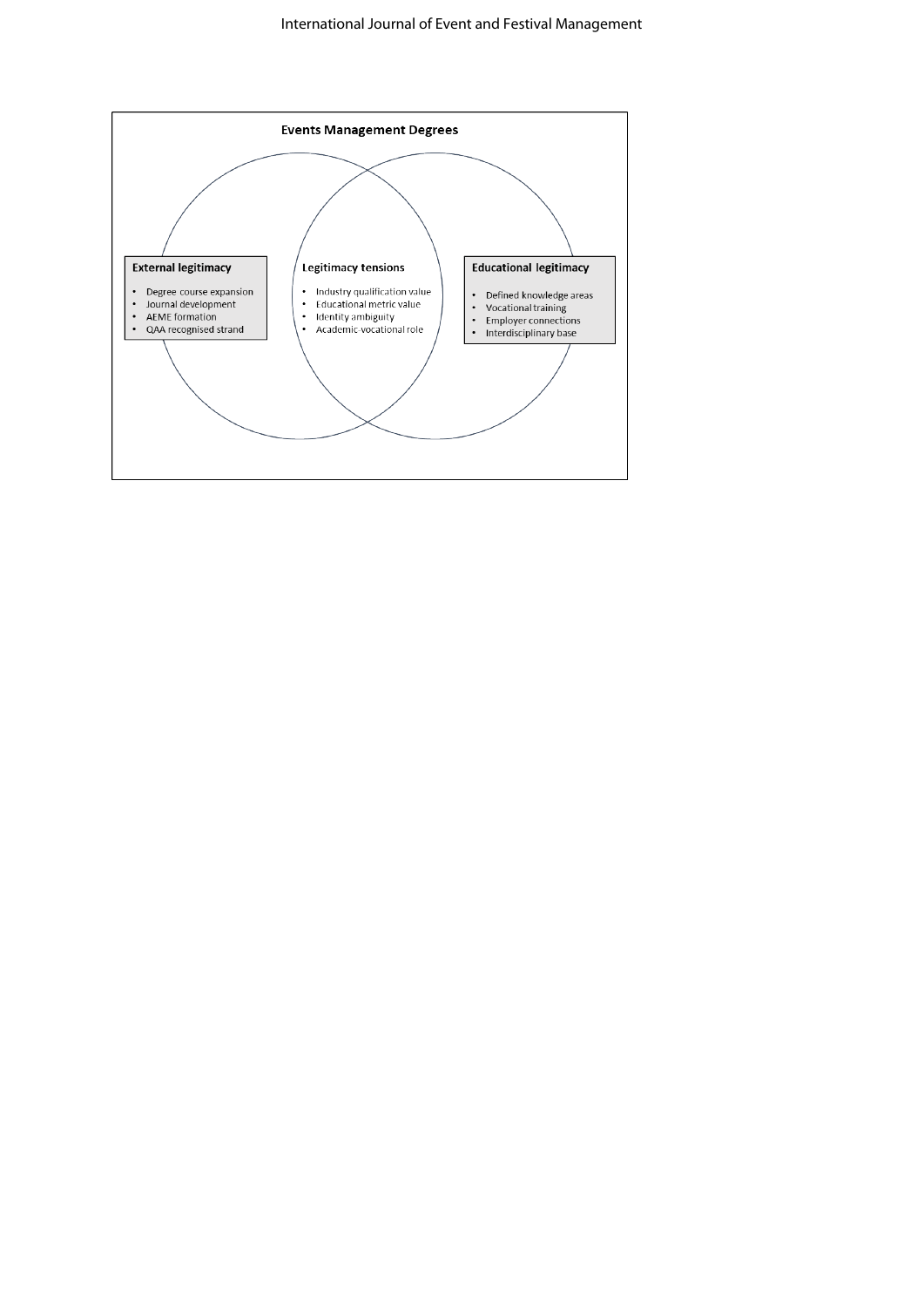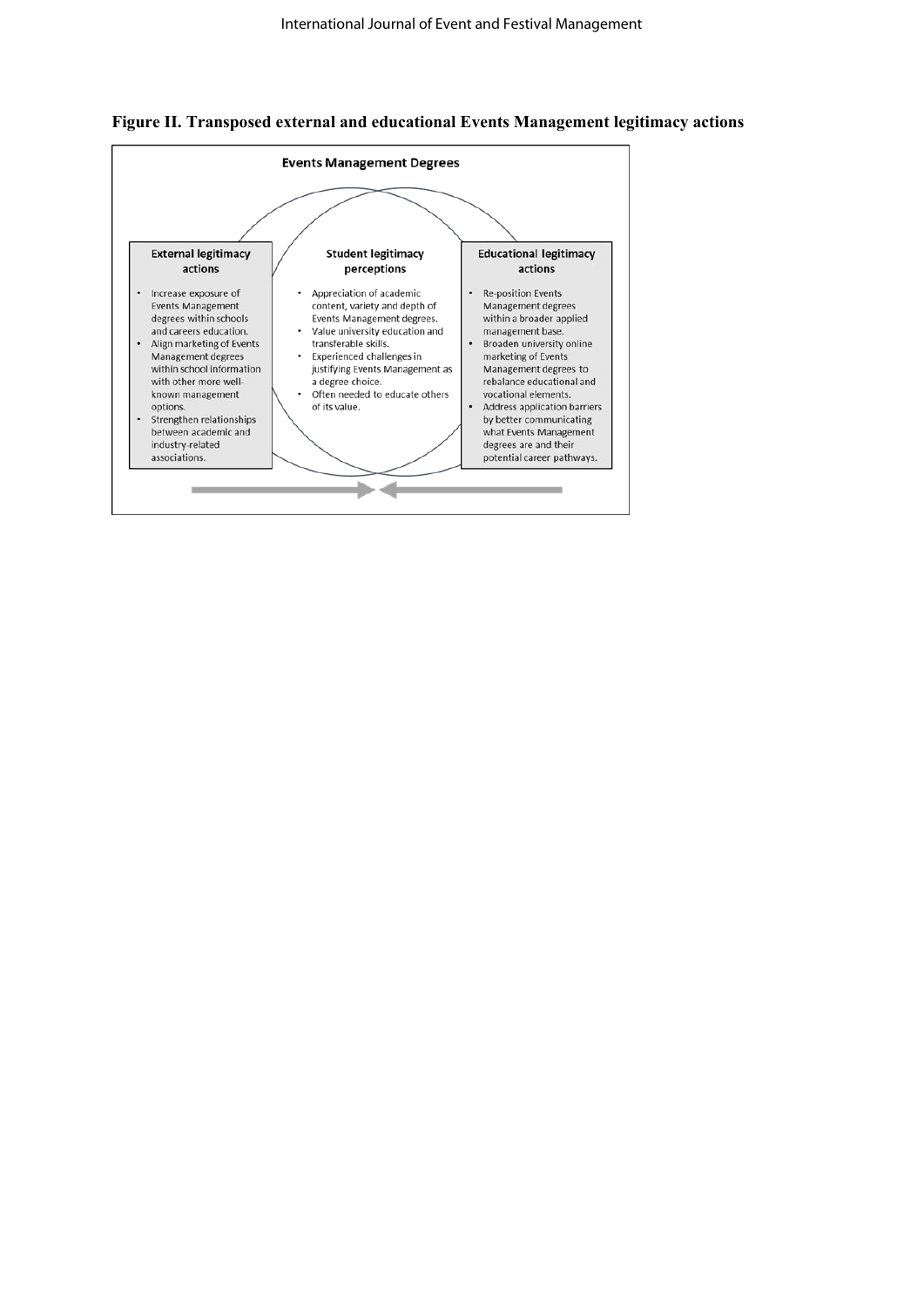

**Figure II. Transposed external and educational Events Management legitimacy actions**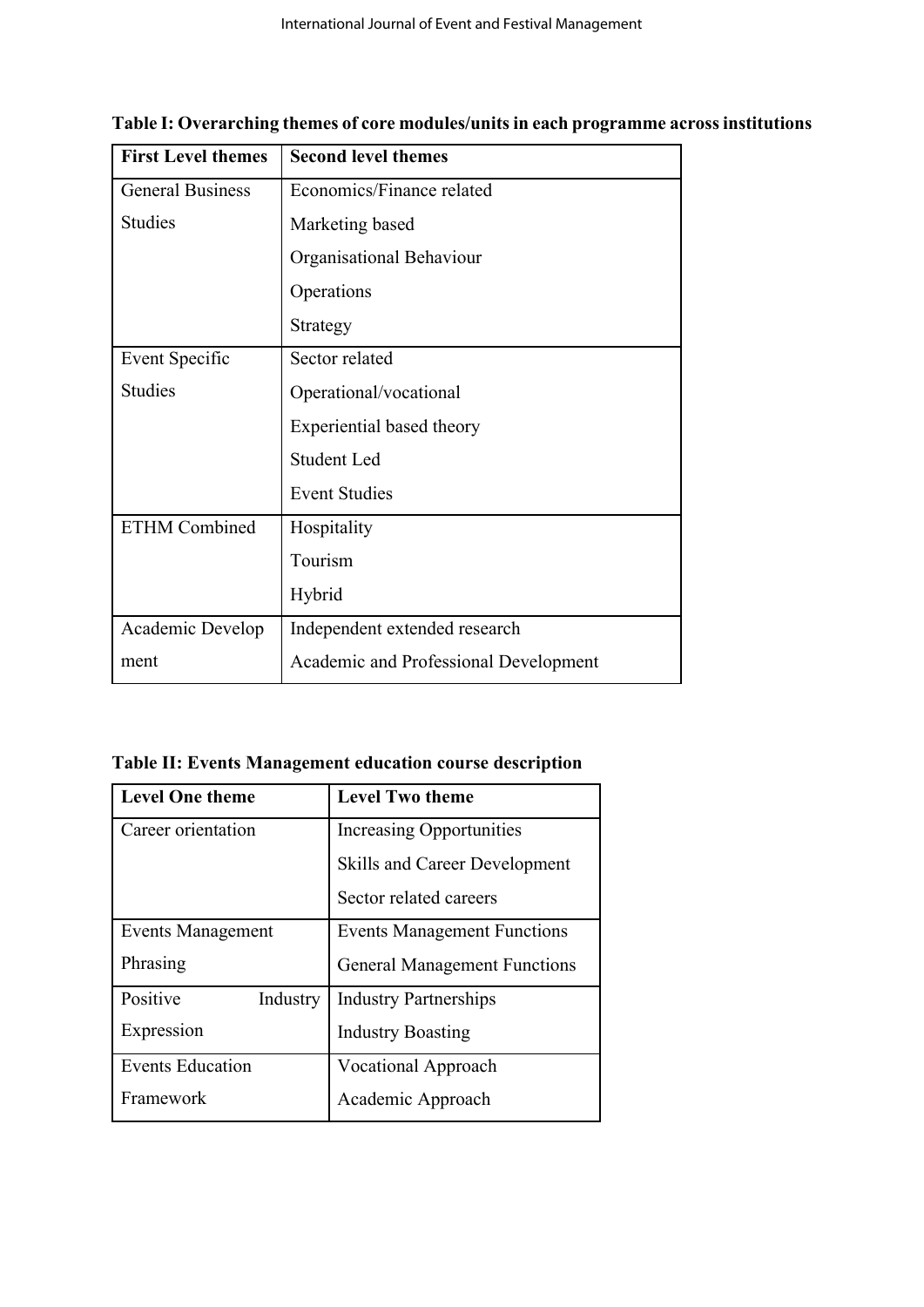| <b>First Level themes</b> | <b>Second level themes</b>            |
|---------------------------|---------------------------------------|
| <b>General Business</b>   | Economics/Finance related             |
| <b>Studies</b>            | Marketing based                       |
|                           | Organisational Behaviour              |
|                           | Operations                            |
|                           | Strategy                              |
| Event Specific            | Sector related                        |
| <b>Studies</b>            | Operational/vocational                |
|                           | Experiential based theory             |
|                           | <b>Student Led</b>                    |
|                           | <b>Event Studies</b>                  |
| <b>ETHM Combined</b>      | Hospitality                           |
|                           | Tourism                               |
|                           | Hybrid                                |
| Academic Develop          | Independent extended research         |
| ment                      | Academic and Professional Development |

**Table I: Overarching themes of core modules/units in each programme across institutions**

# **Table II: Events Management education course description**

| <b>Level One theme</b>  | <b>Level Two theme</b>               |  |
|-------------------------|--------------------------------------|--|
| Career orientation      | <b>Increasing Opportunities</b>      |  |
|                         | <b>Skills and Career Development</b> |  |
|                         | Sector related careers               |  |
| Events Management       | <b>Events Management Functions</b>   |  |
| Phrasing                | <b>General Management Functions</b>  |  |
| Positive<br>Industry    | <b>Industry Partnerships</b>         |  |
| Expression              | <b>Industry Boasting</b>             |  |
| <b>Events Education</b> | <b>Vocational Approach</b>           |  |
| Framework               | Academic Approach                    |  |